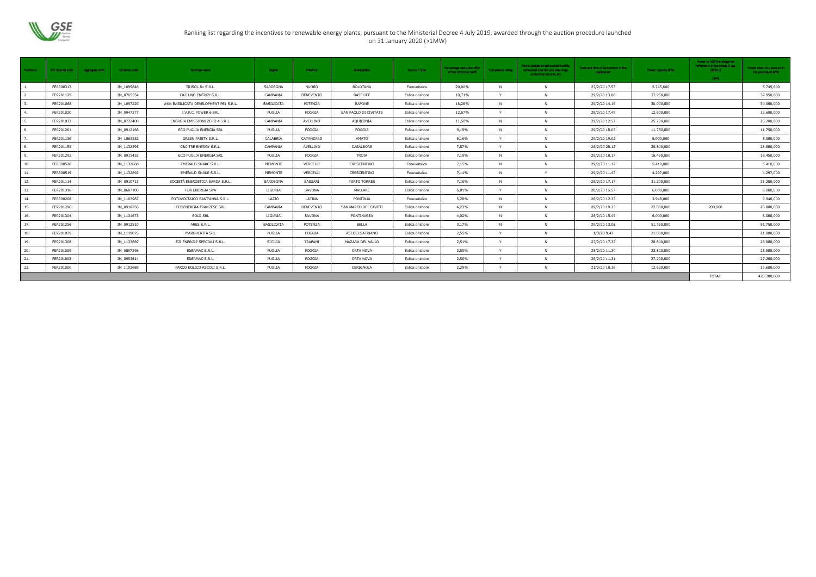

## Ranking list regarding the incentives to renewable energy plants, pursuant to the Ministerial Decree 4 July 2019, awarded through the auction procedure launched on 31 January 2020 (>1MW)

| Position n.  | <b>FER request code</b> | Aggregate code | Censimp code | <b>Business name</b>                  | Region         | Province         | Municipality          | Source / Type  | Percentage reduction offer<br>of the reference tariff | <b>Compliance rating</b> | Plants located on exhausted landfills,<br>exhausted quarries and peat bogs,<br>contaminated sites, etc. | Date and time of completion of the<br>application | Power capacity (kW) | Power to fulfil the obligation<br>referred to in the article D.Lgs.<br>28/2011<br>(kW) | Power taken into account in<br>the procedure (kW) |
|--------------|-------------------------|----------------|--------------|---------------------------------------|----------------|------------------|-----------------------|----------------|-------------------------------------------------------|--------------------------|---------------------------------------------------------------------------------------------------------|---------------------------------------------------|---------------------|----------------------------------------------------------------------------------------|---------------------------------------------------|
|              | FER300313               |                | IM_1099848   | TRISOL 81 S.R.L.                      | SARDEGNA       | <b>NUORO</b>     | <b>BOLOTANA</b>       | Fotovoltaica   | 20,00%                                                | N                        | N                                                                                                       | 27/2/20 17.57                                     | 5.745,600           |                                                                                        | 5.745,600                                         |
|              | FER201125               |                | IM 0765554   | C&C UNO ENERGY S.R.L.                 | CAMPANIA       | <b>BENEVENTO</b> | <b>BASELICE</b>       | Eolica onshore | 18,71%                                                | $\mathbf{v}$             | N                                                                                                       | 29/2/20 13.00                                     | 37.950,000          |                                                                                        | 37.950,000                                        |
|              | FER201068               |                | IM_1097229   | WKN BASILICATA DEVELOPMENT PE1 S.R.L. | BASILICATA     | POTENZA          | <b>RAPONE</b>         | Eolica onshore | 18,28%                                                | <b>N</b>                 | N                                                                                                       | 29/2/20 14.19                                     | 30.000,000          |                                                                                        | 30.000,000                                        |
|              | FER201020               |                | IM_0947277   | I.V.P.C. POWER 6 SRL                  | PUGLIA         | FOGGIA           | SAN PAOLO DI CIVITATE | Eolica onshore | 12,57%                                                | $\mathsf{Y}$             | N                                                                                                       | 28/2/20 17.49                                     | 12.600,000          |                                                                                        | 12.600,000                                        |
|              | FER201032               |                | IM 0772408   | ENERGIA EMISSIONI ZERO 4 S.R.L.       | CAMPANIA       | AVELLINO         | AQUILONIA             | Eolica onshore | 11,50%                                                | N                        | N                                                                                                       | 29/2/20 12.52                                     | 25.200,000          |                                                                                        | 25.200,000                                        |
| <b>6</b>     | FER201261               |                | IM 0912166   | ECO PUGLIA ENERGIA SRL                | PUGLIA         | FOGGIA           | FOGGIA                | Eolica onshore | 9,19%                                                 | N                        | N                                                                                                       | 29/2/20 18.03                                     | 11.750,000          |                                                                                        | 11.750,000                                        |
|              | FER201136               |                | IM_1063532   | <b>GREEN PARITY S.R.L.</b>            | CALABRIA       | CATANZARO        | AMATO                 | Eolica onshore | 8,16%                                                 |                          | N                                                                                                       | 29/2/20 19.02                                     | 8.000,000           |                                                                                        | 8.000,000                                         |
| $\mathbf{R}$ | FER201155               |                | IM_1132595   | C&C TRE ENERGY S.R.L.                 | CAMPANIA       | AVELLINO         | CASALBORE             | Eolica onshore | 7,87%                                                 |                          | $\mathsf{N}$                                                                                            | 28/2/20 20.12                                     | 28.800,000          |                                                                                        | 28.800,000                                        |
|              | FER201292               |                | IM 0911452   | ECO PUGLIA ENERGIA SRL                | PUGLIA         | FOGGIA           | TROIA                 | Eolica onshore | 7,19%                                                 | N                        | N                                                                                                       | 29/2/20 18.17                                     | 16.450,000          |                                                                                        | 16.450,000                                        |
| 10.          | FER300520               |                | IM_1132668   | EMERALD SNAKE S.R.L.                  | PIEMONTE       | VERCELLI         | CRESCENTINO           | Fotovoltaica   | 7,15%                                                 | <b>N</b>                 | N                                                                                                       | 29/2/20 11.12                                     | 5.410,000           |                                                                                        | 5.410,000                                         |
| 11.          | FER300519               |                | IM_1132892   | EMERALD SNAKE S.R.L.                  | PIEMONTE       | VERCELLI         | CRESCENTINO           | Fotovoltaica   | 7,14%                                                 | N                        | $\mathsf{Y}$                                                                                            | 29/2/20 11.47                                     | 4.297,000           |                                                                                        | 4.297,000                                         |
| 12.          | FER201114               |                | IM 0910713   | SOCIETÀ ENERGETICA SARDA S.R.L.       | SARDEGNA       | SASSARI          | PORTO TORRES          | Eolica onshore | 7,10%                                                 | <b>N</b>                 | N                                                                                                       | 28/2/20 17.17                                     | 31.200,000          |                                                                                        | 31.200,000                                        |
| 13.          | FER201316               |                | IM 0687100   | FEN ENERGIA SPA                       | LIGURIA        | SAVONA           | MALLARE               | Eolica onshore | 6,01%                                                 | $\mathbf{v}$             | N                                                                                                       | 28/2/20 15.57                                     | 6.000,000           |                                                                                        | 6.000,000                                         |
| 14.          | FER300268               |                | IM_1103987   | FOTOVOLTAICO SANT'ANNA S.R.L.         | LAZIO          | LATINA           | PONTINIA              | Fotovoltaica   | 5,28%                                                 | N                        | N                                                                                                       | 28/2/20 12.37                                     | 3.948,000           |                                                                                        | 3.948,000                                         |
| 15.          | FER201296               |                | IM 0910756   | ECOENERGIA FRANZESE SRL               | CAMPANIA       | <b>BENEVENTO</b> | SAN MARCO DEI CAVOTI  | Eolica onshore | 4,23%                                                 | <b>N</b>                 | $\mathsf{N}$                                                                                            | 29/2/20 19.33                                     | 27.000,000          | 200,000                                                                                | 26.800,000                                        |
| 16.          | FER201304               |                | IM 1131673   | <b>EOLO SRL</b>                       | LIGURIA        | SAVONA           | PONTINVREA            | Eolica onshore | 4,02%                                                 | N                        | N                                                                                                       | 28/2/20 15.45                                     | 6.000,000           |                                                                                        | 6.000,000                                         |
| 17.          | FER201256               |                | IM_0912510   | ARES S.R.L.                           | BASILICATA     | POTENZA          | <b>BELLA</b>          | Eolica onshore | 3,17%                                                 | N                        | N                                                                                                       | 29/2/20 13.08                                     | 51.750,000          |                                                                                        | 51.750,000                                        |
| 18.          | FER201079               |                | IM 1119075   | MARGHERITA SRL                        | PUGLIA         | FOGGIA           | ASCOLI SATRIANO       | Eolica onshore | 2,55%                                                 | Y                        | N                                                                                                       | 1/3/20 9.47                                       | 21.000,000          |                                                                                        | 21.000,000                                        |
| 19.          | FER201308               |                | IM 1133669   | E2I ENERGIE SPECIALI S.R.L.           | <b>SICILIA</b> | TRAPANI          | MAZARA DEL VALLO      | Eolica onshore | 2,51%                                                 | $\mathbf{v}$             | N                                                                                                       | 27/2/20 17.37                                     | 28.800,000          |                                                                                        | 28.800,000                                        |
| 20.          | FER201009               |                | IM_0897296   | <b>ENERMAC S.R.L.</b>                 | PUGLIA         | FOGGIA           | ORTA NOVA             | Eolica onshore | 2,50%                                                 | $\mathsf{Y}$             | N                                                                                                       | 28/2/20 11.30                                     | 23.800.000          |                                                                                        | 23.800.000                                        |
| 21.          | FER201008               |                | IM 0903614   | <b>ENERMAC S.R.L.</b>                 | PUGLIA         | FOGGIA           | ORTA NOVA             | Eolica onshore | 2,50%                                                 | $\mathsf{Y}$             | N                                                                                                       | 28/2/20 11.31                                     | 27.200,000          |                                                                                        | 27.200,000                                        |
| 22.          | FER201000               |                | IM_1102688   | PARCO EOLICO ASCOLI S.R.L.            | PUGLIA         | FOGGIA           | CERIGNOLA             | Eolica onshore | 2,29%                                                 |                          |                                                                                                         | 21/2/20 18.19                                     | 12.600,000          |                                                                                        | 12.600,000                                        |
|              |                         |                |              |                                       |                |                  |                       |                |                                                       |                          |                                                                                                         |                                                   |                     | TOTAL:                                                                                 | 425.300,600                                       |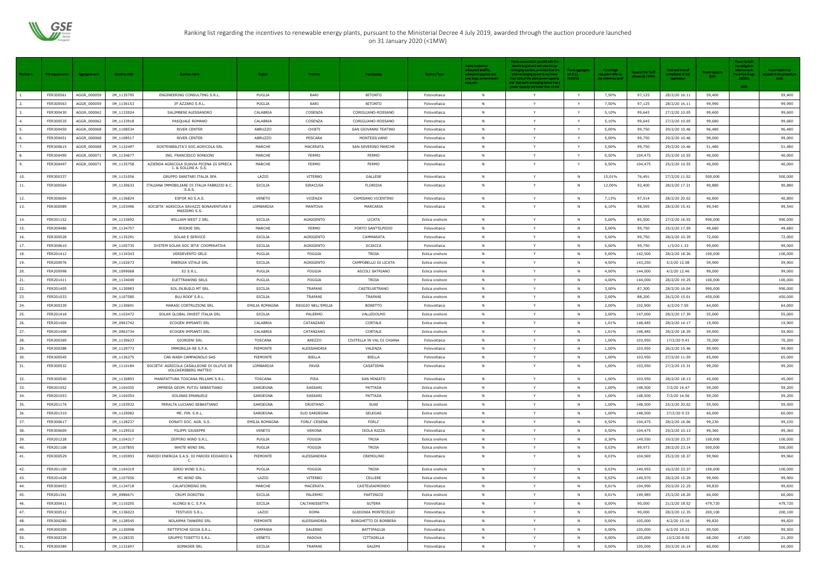

## Ranking list regarding the incentives to renewable energy plants, pursuant to the Ministerial Decree 4 July 2019, awarded through the auction procedure launched on 31 January 2020 (<1MW)

|                  |                  |                |              |                                                                  |                |                     |                            |                | Plants located on                                                                        | Plants connected in parallel with the<br>electricity grid and with electric car                                                                                 |                                                |                                                          |                                         |                                                     |                        | Power to fulfil<br>the obligation             |                                                    |
|------------------|------------------|----------------|--------------|------------------------------------------------------------------|----------------|---------------------|----------------------------|----------------|------------------------------------------------------------------------------------------|-----------------------------------------------------------------------------------------------------------------------------------------------------------------|------------------------------------------------|----------------------------------------------------------|-----------------------------------------|-----------------------------------------------------|------------------------|-----------------------------------------------|----------------------------------------------------|
| Position n.      | FER request code | Aggregate code | Censimp code | <b>Business name</b>                                             | Region         | Province            | <b>Municipality</b>        | Source / Type  | exhausted landfills,<br>exhausted quarries and<br>peat bogs, contaminated<br>sites, etc. | recharging stations, provided that the<br>total recharging power is not lower<br>than 15% of the plant power capacity<br>and that each recharging station has a | <b>Plants aggregate</b><br>art.3.10,<br>DM2019 | Percentage<br>reduction offer on<br>the reference tariff | Value of the Tariff<br>offered (€ / MWh | Date and time of<br>ompletion of the<br>application | Power capacity<br>(kW) | referred to in<br>the article D.Lg<br>28/2011 | Power taken into<br>count in the procedure<br>(kW) |
| $\overline{1}$ . | FER300561        | AGGR_000059    | IM_1135795   | ENGINEERING CONSULTING S.R.L.                                    | PUGLIA         | BARI                | <b>BITONTO</b>             | Fotovoltaica   | N                                                                                        | power capacity not lower than 15 kW<br>Y                                                                                                                        | Y                                              | 7,50%                                                    | 97,125                                  | 28/2/20 16.11                                       | 59,400                 | (kW)                                          | 59,400                                             |
| 2.               | FER300563        | AGGR_000059    | IM_1136153   | 3F AZZARO S.R.L.                                                 | PUGLIA         | BARI                | <b>BITONTO</b>             | Fotovoltaica   | - N                                                                                      | Y                                                                                                                                                               | Y                                              | 7,50%                                                    | 97,125                                  | 28/2/20 16.11                                       | 99,990                 |                                               | 99,990                                             |
| 3.               | FER300430        | AGGR_000062    | IM_1133924   | SALIMBENI ALESSANDRO                                             | CALABRIA       | COSENZA             | CORIGLIANO-ROSSANO         | Fotovoltaica   | <b>N</b>                                                                                 | Y                                                                                                                                                               | Y                                              | 5,10%                                                    | 99,645                                  | 27/2/20 10.05                                       | 99,600                 |                                               | 99,600                                             |
| 4.               | FER300535        | AGGR_000062    | IM_1133918   | PASQUALE ROMANO                                                  | CALABRIA       | COSENZA             | CORIGLIANO-ROSSANO         | Fotovoltaica   | N                                                                                        | Y                                                                                                                                                               | Y                                              | 5,10%                                                    | 99,645                                  | 27/2/20 10.05                                       | 99,680                 |                                               | 99,680                                             |
| 5.               | FER300450        | AGGR_000068    | IM_1108534   | RIVER CENTER                                                     | <b>ABRUZZO</b> | CHIETI              | SAN GIOVANNI TEATINO       | Fotovoltaica   | - N                                                                                      | Y                                                                                                                                                               | Y                                              | 5,00%                                                    | 99,750                                  | 29/2/20 10.46                                       | 96,480                 |                                               | 96,480                                             |
| 6.               | FER300451        | AGGR_000068    | IM_1108517   | RIVER CENTER                                                     | <b>ABRUZZO</b> | PESCARA             | MONTESILVANO               | Fotovoltaica   | N                                                                                        | Y                                                                                                                                                               | Y                                              | 5,00%                                                    | 99,750                                  | 29/2/20 10.46                                       | 99,000                 |                                               | 99,000                                             |
| 7.               | FER300615        | AGGR_000068    | IM_1132497   | SOSTENIBILITA'3 SOC.AGRICOLA SRL                                 | MARCHE         | MACERATA            | SAN SEVERINO MARCHE        | Fotovoltaica   | N                                                                                        | Y                                                                                                                                                               | Y                                              | 5,00%                                                    | 99,750                                  | 29/2/20 10.46                                       | 51,480                 |                                               | 51,480                                             |
| 8.               | FER300490        | AGGR_000071    | IM_1134677   | ING. FRANCESCO RONGONI                                           | MARCHE         | <b>FERMO</b>        | FERMO                      | Fotovoltaica   | <b>N</b>                                                                                 | Y                                                                                                                                                               | Y                                              | 0,50%                                                    | 104,475                                 | 25/2/20 10.55                                       | 40,000                 |                                               | 40,000                                             |
| 9.               | FER300497        | AGGR_000071    | IM_1135758   | AZIENDA AGRICOLA SUAVIA PICENA DI SPRECA<br>I. & SOLLINI A. S.S. | MARCHE         | <b>FERMO</b>        | FERMO                      | Fotovoltaica   | <b>N</b>                                                                                 | Y                                                                                                                                                               | Y                                              | 0,50%                                                    | 104,475                                 | 25/2/20 10.55                                       | 40,000                 |                                               | 40,000                                             |
| 10.              | FER300337        |                | IM_1131056   | GRUPPO SANITARI ITALIA SPA                                       | LAZIO          | VITERBO             | GALLESE                    | Fotovoltaica   | N                                                                                        | Y                                                                                                                                                               | N                                              | 15,01%                                                   | 76,491                                  | 27/2/20 11.02                                       | 500,000                |                                               | 500,000                                            |
| 11.              | FER300564        |                | IM_1130633   | ITALIANA IMMOBILIARE DI ITALIA FABRIZIO & C.<br>S.A.S.           | SICILIA        | <b>SIRACUSA</b>     | FLORIDIA                   | Fotovoltaica   | N                                                                                        | Y                                                                                                                                                               | N                                              | 12,00%                                                   | 92,400                                  | 28/2/20 17.21                                       | 90,880                 |                                               | 90,880                                             |
| 12.              | FER300604        |                | IM_1136824   | ESFOR AG S.A.S.                                                  | VENETO         | VICENZA             | CAMISANO VICENTINO         | Fotovoltaica   | N                                                                                        | Y                                                                                                                                                               | N                                              | 7,13%                                                    | 97,514                                  | 28/2/20 20.02                                       | 40,800                 |                                               | 40,800                                             |
| 13.              | FER300589        |                | IM_1103496   | SOCIETA' AGRICOLA SAVAZZI BONAVENTURA E<br>MASSIMO S.S.          | LOMBARDIA      | MANTOVA             | MARCARIA                   | Fotovoltaica   | <b>N</b>                                                                                 | Y                                                                                                                                                               | - N                                            | 6,10%                                                    | 98,595                                  | 28/2/20 15.41                                       | 99,540                 |                                               | 99,540                                             |
| 14.              | FER201152        |                | IM_1133692   | WILLIAM WEST 2 SRL                                               | SICILIA        | AGRIGENTO           | LICATA                     | Eolica onshore | <b>N</b>                                                                                 | Y                                                                                                                                                               | $\overline{N}$                                 | 5,00%                                                    | 85,500                                  | 27/2/20 16.55                                       | 990,000                |                                               | 990,000                                            |
| 15.              | FER300486        |                | IM_1134757   | ROOKIE SRL                                                       | MARCHE         | <b>FERMO</b>        | PORTO SANT'ELPIDIO         | Fotovoltaica   | - N                                                                                      | Y                                                                                                                                                               | - N                                            | 5,00%                                                    | 99,750                                  | 25/2/20 17.59                                       | 49,680                 |                                               | 49,680                                             |
| 16.              | FER300528        |                | IM_1135291   | SOLAR E SERVICE                                                  | SICILIA        | AGRIGENTO           | CAMMARATA                  | Fotovoltaica   | <b>N</b>                                                                                 | Y                                                                                                                                                               | $\mathsf{N}$                                   | 5,00%                                                    | 99,750                                  | 28/2/20 10.39                                       | 72,000                 |                                               | 72,000                                             |
| 17.              | FER300610        |                | IM_1105735   | SYSTEM SOLAR SOC IETA' COOPERATIVA                               | SICILIA        | AGRIGENTO           | <b>SCIACCA</b>             | Fotovoltaica   | N                                                                                        | Y                                                                                                                                                               | N                                              | 5,00%                                                    | 99,750                                  | 1/3/20 1.33                                         | 99,000                 |                                               | 99,000                                             |
| 18.              | FER201412        |                | IM_1134343   | <b>VERDEVENTO SRLS</b>                                           | PUGLIA         | FOGGIA              | <b>TROIA</b>               | Eolica onshore | - N                                                                                      | Y                                                                                                                                                               | $\mathbb{N}$                                   | 5,00%                                                    | 142,500                                 | 28/2/20 18.26                                       | 100,000                |                                               | 100,000                                            |
| 19.              | FER200976        |                | IM_1102673   | ENERGIA VITALE SRL                                               | SICILIA        | AGRIGENTO           | CAMPOBELLO DI LICATA       | Eolica onshore | N                                                                                        | Y                                                                                                                                                               | - N                                            | 4,50%                                                    | 143,250                                 | 5/2/20 12.08                                        | 59,900                 |                                               | 59,900                                             |
| 20.              | FER200998        |                | IM_1099068   | E2 S.R.L.                                                        | PUGLIA         | FOGGIA              | ASCOLI SATRIANO            | Eolica onshore | <b>N</b>                                                                                 | Y                                                                                                                                                               | - N                                            | 4,00%                                                    | 144,000                                 | 4/2/20 12.46                                        | 99,000                 |                                               | 99,000                                             |
| 21.              | FER201411        |                | IM_1134049   | ELETTRAWIND SRLS                                                 | PUGLIA         | FOGGIA              | TROIA                      | Eolica onshore | N                                                                                        | Y                                                                                                                                                               | - N                                            | 4,00%                                                    | 144,000                                 | 28/2/20 19.25                                       | 100,000                |                                               | 100,000                                            |
| 22.              | FER201405        |                | IM_1130983   | SOL.IN.BUILD.MT SRL                                              | SICILIA        | TRAPANI             | CASTELVETRANO              | Eolica onshore | N                                                                                        | Y                                                                                                                                                               | N                                              | 3,00%                                                    | 87,300                                  | 28/2/20 16.04                                       | 990,000                |                                               | 990,000                                            |
| 23.              | FER201033        |                | IM_1107580   | BLU ROOF S.R.L.                                                  | SICILIA        | TRAPANI             | TRAPANI                    | Eolica onshore | - N                                                                                      | Y                                                                                                                                                               | - N                                            | 2,00%                                                    | 88,200                                  | 26/2/20 15.01                                       | 450,000                |                                               | 450,000                                            |
| 24.              | FER300339        |                | IM_1130691   | MARASI COSTRUZIONI SRL                                           | EMILIA ROMAGNA | REGGIO NELL'EMILIA  | BORETTO                    | Fotovoltaica   | - N                                                                                      | Y                                                                                                                                                               | - N                                            | 2,00%                                                    | 102,900                                 | 6/2/20 7.50                                         | 64,000                 |                                               | 64,000                                             |
| 25.              | FER201418        |                | IM_1103472   | SOLAR GLOBAL INVEST ITALIA SRL                                   | SICILIA        | PALERMO             | VALLEDOLMO                 | Eolica onshore | - N                                                                                      | Y                                                                                                                                                               | - N                                            | 2,00%                                                    | 147,000                                 | 28/2/20 17.39                                       | 55,000                 |                                               | 55,000                                             |
| 26.              | FER201404        |                | IM_0963742   | ECOGEN IMPIANTI SRL                                              | CALABRIA       | CATANZARO           | CORTALE                    | Eolica onshore | - N                                                                                      | Y                                                                                                                                                               | N                                              | 1,01%                                                    | 148,485                                 | 28/2/20 14.17                                       | 19,900                 |                                               | 19,900                                             |
| 27.              | FER201408        |                | IM_0963734   | ECOGEN IMPIANTI SRL                                              | CALABRIA       | CATANZARO           | CORTALE                    | Eolica onshore | N                                                                                        | Y                                                                                                                                                               | N                                              | 1,01%                                                    | 148,485                                 | 28/2/20 18.39                                       | 59,900                 |                                               | 59,900                                             |
| 28.              | FER300369        |                | IM_1130623   | <b>GIORDINI SRL</b>                                              | <b>TOSCANA</b> | AREZZO              | CIVITELLA IN VAL DI CHIANA | Fotovoltaica   | N                                                                                        | Y                                                                                                                                                               | N                                              | 1,00%                                                    | 103,950                                 | 17/2/20 9.41                                        | 70,200                 |                                               | 70,200                                             |
| 29.              | FER300388        |                | IM_1129773   | IMMOBILIA-RE S.P.A.                                              | PIEMONTE       | ALESSANDRIA         | VALENZA                    | Fotovoltaica   | - N                                                                                      | Y                                                                                                                                                               | N                                              | 1,00%                                                    | 103,950                                 | 26/2/20 15.46                                       | 99,900                 |                                               | 99,900                                             |
| 30.              | FER300545        |                | IM_1136375   | CAR WASH CAMPAGNOLO SAS                                          | PIEMONTE       | BIELLA              | BIELLA                     | Fotovoltaica   |                                                                                          | Y                                                                                                                                                               | - N                                            | 1,00%                                                    | 103,950                                 | 27/2/20 11.59                                       | 65,000                 |                                               | 65,000                                             |
| 31.              | FER300532        |                | IM_1110184   | SOCIETA' AGRICOLA CASALLEONE DI DLLFUS DE<br>VOLCKERSBERG MATTEO | LOMBARDIA      | PAVIA               | CASATISMA                  | Fotovoltaica   | N.                                                                                       | Y                                                                                                                                                               | N                                              | 1,00%                                                    | 103,950                                 | 27/2/20 15.31                                       | 99,200                 |                                               | 99,200                                             |
| 32.              | FER300540        |                | IM_1130893   | MANIFATTURA TOSCANA PELLAMI S.R.L.                               | TOSCANA        | PISA                | <b>SAN MINIATO</b>         | Fotovoltaica   | N                                                                                        | Y                                                                                                                                                               | N                                              | 1,00%                                                    | 103,950                                 | 28/2/20 18.13                                       | 45,000                 |                                               | 45,000                                             |
| 33.              | FER201052        |                | IM_1104355   | IMPRESA GEOM. PUTZU SEBASTIANO                                   | SARDEGNA       | SASSARI             | PATTADA                    | Eolica onshore | N                                                                                        | Y                                                                                                                                                               | N                                              | 1,00%                                                    | 148,500                                 | 7/2/20 14.47                                        | 59,200                 |                                               | 59,200                                             |
| 34.              | FER201053        |                | IM_1104354   | SOLINAS EMANUELE                                                 | SARDEGNA       | SASSARI             | PATTADA                    | Eolica onshore | - N                                                                                      | Y                                                                                                                                                               | $\mathsf{N}$                                   | 1,00%                                                    | 148,500                                 | 7/2/20 14.56                                        | 59,200                 |                                               | 59,200                                             |
| 35.              | FER201174        |                | IM_1103932   | PERALTA LUCIANO SEBASTIANO                                       | SARDEGNA       | ORISTANO            | SUNI                       | Eolica onshore | - N                                                                                      | Y                                                                                                                                                               | - N                                            | 1,00%                                                    | 148,500                                 | 25/2/20 20.02                                       | 59,500                 |                                               | 59,500                                             |
| 36.              | FER201310        |                | IM_1120082   | ME. FIN. S.R.L.                                                  | SARDEGNA       | <b>SUD SARDEGNA</b> | <b>SELEGAS</b>             | Eolica onshore | <b>N</b>                                                                                 | Y                                                                                                                                                               | $\mathsf{N}$                                   | 1,00%                                                    | 148,500                                 | 27/2/20 9.33                                        | 60,000                 |                                               | 60,000                                             |
| 37.              | FER300617        |                | IM_1128237   | DONATI SOC. AGR. S.S.                                            | EMILIA ROMAGNA | FORLI'-CESENA       | FORLI'                     | Fotovoltaica   | N                                                                                        | Y                                                                                                                                                               | N                                              | 0,50%                                                    | 104,475                                 | 28/2/20 16.06                                       | 99,230                 |                                               | 99,230                                             |
| 38.              | FER300609        |                | IM_1129510   | FILIPPI GIUSEPPE                                                 | VENETO         | VERONA              | ISOLA RIZZA                | Fotovoltaica   | N                                                                                        | Y                                                                                                                                                               | N                                              | 0,50%                                                    | 104,475                                 | 29/2/20 10.13                                       | 99,360                 |                                               | 99,360                                             |
| 39.              | FER201228        |                | IM_1104317   | ZEFFIRO WIND S.R.L.                                              | PUGLIA         | FOGGIA              | <b>TROIA</b>               | Eolica onshore | N                                                                                        | Y                                                                                                                                                               | $\mathsf{N}$                                   | 0,30%                                                    | 149,550                                 | 19/2/20 23.37                                       | 100,000                |                                               | 100,000                                            |
| 40.              | FER201108        |                | IM_1107855   | WHITE WIND SRL                                                   | PUGLIA         | FOGGIA              | TROIA                      | Eolica onshore | N                                                                                        | Y                                                                                                                                                               | - N                                            | 0,03%                                                    | 89,973                                  | 28/2/20 23.14                                       | 500,000                |                                               | 500,000                                            |
| 41.              | FER300529        |                | IM_1105993   | PARODI ENERGIA S.A.S. DI PARODI EDOARDO &<br>C.                  | PIEMONTE       | ALESSANDRIA         | CREMOLINO                  | Fotovoltaica   | N                                                                                        | Y                                                                                                                                                               | N                                              | 0,03%                                                    | 104,969                                 | 25/2/20 18.37                                       | 99,960                 |                                               | 99,960                                             |
| 42.              | FER201100        |                | IM_1104319   | SIRIO WIND S.R.L.                                                | PUGLIA         | FOGGIA              | TROIA                      | Eolica onshore | N                                                                                        | Y                                                                                                                                                               | N                                              | 0,03%                                                    | 149,955                                 | 16/2/20 23.37                                       | 100,000                |                                               | 100,000                                            |
| 43.              | FER201428        |                | IM_1107056   | MC WIND SRL                                                      | LAZIO          | VITERBO             | CELLERE                    | Eolica onshore | N.                                                                                       | Y                                                                                                                                                               | N                                              | 0,02%                                                    | 149,970                                 | 28/2/20 15.29                                       | 99,900                 |                                               | 99,900                                             |
| 44.              | FER300453        |                | IM_1134718   | CALAFIOREING SRL                                                 | MARCHE         | MACERATA            | CASTELRAIMONDO             | Fotovoltaica   | <b>N</b>                                                                                 | Y                                                                                                                                                               | $\mathsf{N}$                                   | 0,01%                                                    | 104,990                                 | 29/2/20 22.25                                       | 99,830                 |                                               | 99,830                                             |
| 45.              | FER201341        |                | IM_0986671   | CRUPI DOROTEA                                                    | SICILIA        | PALERMO             | PARTINICO                  | Eolica onshore | - N                                                                                      | Y                                                                                                                                                               | N                                              | 0,01%                                                    | 149,985                                 | 25/2/20 18.20                                       | 60,000                 |                                               | 60,000                                             |
| 46.              | FER300411        |                | IM_1110205   | ALONGI & C. S.P.A.                                               | SICILIA        | CALTANISSETTA       | SUTERA                     | Fotovoltaica   | <b>N</b>                                                                                 | Y                                                                                                                                                               | $\mathsf{N}$                                   | $0,00\%$                                                 | 90,000                                  | 21/2/20 18.52                                       | 479,720                |                                               | 479,720                                            |
| 47.              | FER300512        |                | IM_1136023   | TESTUDO S.R.L.                                                   | LAZIO          | ROMA                | GUIDONIA MONTECELIO        | Fotovoltaica   | <b>N</b>                                                                                 | Y                                                                                                                                                               | N                                              | 0,00%                                                    | 90,000                                  | 28/2/20 12.35                                       | 200,100                |                                               | 200,100                                            |
| 48.              | FER300280        |                | IM_1128545   | NOLARMA TANKERS SRL                                              | PIEMONTE       | ALESSANDRIA         | BORGHETTO DI BORBERA       | Fotovoltaica   | N                                                                                        | Y                                                                                                                                                               | N                                              | $0,00\%$                                                 | 105,000                                 | 4/2/20 15.16                                        | 99,820                 |                                               | 99,820                                             |
| 49.              | FER300309        |                | IM_1130998   | RETTIFICHE GIOIA S.R.L.                                          | CAMPANIA       | SALERNO             | BATTIPAGLIA                | Fotovoltaica   | <b>N</b>                                                                                 | Y                                                                                                                                                               | $\mathsf{N}$                                   | $0,00\%$                                                 | 105,000                                 | 6/2/20 19.21                                        | 99,500                 |                                               | 99,500                                             |
| 50.              | FER300328        |                | IM_1128335   | GRUPPO TOSETTO S.R.L.                                            | VENETO         | PADOVA              | CITTADELLA                 | Fotovoltaica   | N                                                                                        | Y                                                                                                                                                               | $\mathbb{N}$                                   | $0,00\%$                                                 | 105,000                                 | 13/2/20 8.50                                        | 68,200                 | 47,000                                        | 21,200                                             |
| 51.              | FER300389        |                | IM_1131697   | SOMADER SRL                                                      | SICILIA        | TRAPANI             | SALEMI                     | Fotovoltaica   | - N                                                                                      | Y                                                                                                                                                               | N                                              | $0,00\%$                                                 | 105,000                                 | 20/2/20 16.14                                       | 60,000                 |                                               | 60,000                                             |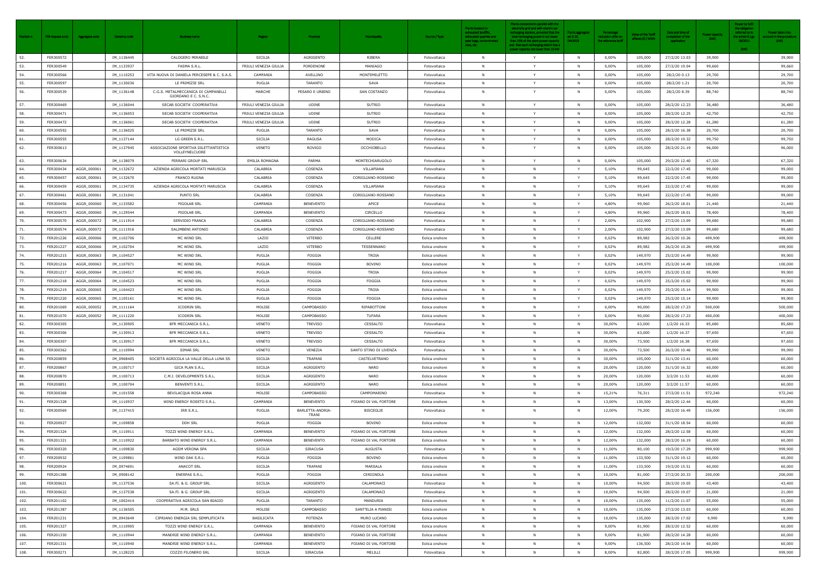| Position n. | FER request code       | Aggregate code | Censimp code             | Business name                                               | <b>Region</b>         | Province                  | Municipality                       | Source / Type                    | <b>Plants located on</b><br>exhausted landfills<br>exhausted quarries and<br>peat bogs, contaminated<br>sites, etc. | Plants connected in parallel with the<br>electricity grid and with electric car<br>echarging stations, provided that the<br>total recharging power is not lower<br>than 15% of the plant power capacity<br>and that each recharging station has a<br>power capacity not lower than 15 kW | <b>Plants aggregate</b><br>art.3.10,<br>DM2019 | Percentage<br>reduction offer or<br>the reference tariff | Value of the Tariff<br>offered (€ / MWh | Date and time of<br>completion of the<br>application | ower capacit<br>(kW) | Power to fulfil<br>the obligation<br>eferred to ir<br>he article D.L<br>28/2011<br>(kW) | Power taken into<br>count in the procedure<br>(kW) |
|-------------|------------------------|----------------|--------------------------|-------------------------------------------------------------|-----------------------|---------------------------|------------------------------------|----------------------------------|---------------------------------------------------------------------------------------------------------------------|------------------------------------------------------------------------------------------------------------------------------------------------------------------------------------------------------------------------------------------------------------------------------------------|------------------------------------------------|----------------------------------------------------------|-----------------------------------------|------------------------------------------------------|----------------------|-----------------------------------------------------------------------------------------|----------------------------------------------------|
| 52.         | FER300572              |                | IM_1136445               | CALOGERO MIRABILE                                           | SICILIA               | AGRIGENTO                 | RIBERA                             | Fotovoltaica                     | N                                                                                                                   | Y                                                                                                                                                                                                                                                                                        | <b>N</b>                                       | 0,00%                                                    | 105,000                                 | 27/2/20 13.03                                        | 39,900               |                                                                                         | 39,900                                             |
| 53.         | FER300549              |                | IM_1133937               | FASMA S.R.L.                                                | FRIULI VENEZIA GIULIA | PORDENONE                 | MANIAGO                            | Fotovoltaica                     | <b>N</b>                                                                                                            | Y                                                                                                                                                                                                                                                                                        | <b>N</b>                                       | $0,00\%$                                                 | 105,000                                 | 27/2/20 19.04                                        | 99,660               |                                                                                         | 99,660                                             |
| 54.         | FER300566              |                | IM_1110253               | VITA NUOVA DI DANIELA PERCESEPE & C. S.A.S.                 | CAMPANIA              | AVELLINO                  | MONTEMILETTO                       | Fotovoltaica                     | <b>N</b>                                                                                                            | Y                                                                                                                                                                                                                                                                                        | N                                              | $0,00\%$                                                 | 105,000                                 | 28/2/20 0.13                                         | 29,700               |                                                                                         | 29,700                                             |
| 55.         | FER300597              |                | IM_1130036               | LE PRIMIZIE SRL                                             | PUGLIA                | TARANTO                   | SAVA                               | Fotovoltaica                     | N                                                                                                                   | Y                                                                                                                                                                                                                                                                                        | N <sub>N</sub>                                 | $0,00\%$                                                 | 105,000                                 | 28/2/20 1.21                                         | 20,700               |                                                                                         | 20,700                                             |
| 56.         | FER300539              |                | IM_1136148               | C.G.S. METALMECCANICA DI CAMPANELLI<br>GIORDANO E C. S.N.C. | MARCHE                | PESARO E URBINO           | SAN COSTANZO                       | Fotovoltaica                     | <b>N</b>                                                                                                            | Y                                                                                                                                                                                                                                                                                        | N                                              | 0,00%                                                    | 105,000                                 | 28/2/20 8.39                                         | 88,740               |                                                                                         | 88,740                                             |
| 57.         | FER300469              |                | IM_1136044               | SECAB SOCIETA' COOPERATIVA                                  | FRIULI VENEZIA GIULIA | UDINE                     | SUTRIO                             | Fotovoltaica                     | N                                                                                                                   | $\mathbf{Y}$                                                                                                                                                                                                                                                                             | N                                              | $0,00\%$                                                 | 105,000                                 | 28/2/20 12.23                                        | 36,480               |                                                                                         | 36,480                                             |
| 58.         | FER300471              |                | IM_1136053               | SECAB SOCIETA' COOPERATIVA                                  | FRIULI VENEZIA GIULIA | <b>UDINE</b>              | SUTRIO                             | Fotovoltaica                     | N                                                                                                                   | Y                                                                                                                                                                                                                                                                                        | - N                                            | $0,00\%$                                                 | 105,000                                 | 28/2/20 12.25                                        | 42,750               |                                                                                         | 42,750                                             |
| 59.         | FER300472              |                | IM_1136061               | SECAB SOCIETA' COOPERATIVA                                  | FRIULI VENEZIA GIULIA | <b>UDINE</b>              | SUTRIO                             | Fotovoltaica                     | <b>N</b>                                                                                                            | Y                                                                                                                                                                                                                                                                                        | $\mathbb N$                                    | $0,00\%$                                                 | 105,000                                 | 28/2/20 12.28                                        | 61,280               |                                                                                         | 61,280                                             |
| 60.         | FER300592              |                | IM_1136025               | LE PRIMIZIE SRL                                             | PUGLIA                | TARANTO                   | SAVA                               | Fotovoltaica                     | N                                                                                                                   | Y                                                                                                                                                                                                                                                                                        | <b>N</b>                                       | $0,00\%$                                                 | 105,000                                 | 28/2/20 16.38                                        | 20,700               |                                                                                         | 20,700                                             |
| 61.         | FER300555              |                | IM_1137144               | LG GREEN S.R.L.                                             | SICILIA               | RAGUSA                    | MODICA                             | Fotovoltaica                     | <b>N</b>                                                                                                            | Y                                                                                                                                                                                                                                                                                        | N                                              | $0,00\%$                                                 | 105,000                                 | 28/2/20 19.32                                        | 99,750               |                                                                                         | 99,750                                             |
| 62.         | FER300613              |                | IM_1137945               | ASSOCIAZIONE SPORTIVA DILETTANTISTICA<br>VOLLEYNELCUORE     | VENETO                | ROVIGO                    | OCCHIOBELLO                        | Fotovoltaica                     | <b>N</b>                                                                                                            | Y                                                                                                                                                                                                                                                                                        | N                                              | 0,00%                                                    | 105,000                                 | 28/2/20 21.19                                        | 96,000               |                                                                                         | 96,000                                             |
| 63.         | FER300634              |                | IM_1138079               | FERRARI GROUP SRL                                           | EMILIA ROMAGNA        | PARMA                     | MONTECHIARUGOLO                    | Fotovoltaica                     | <b>N</b>                                                                                                            | Y                                                                                                                                                                                                                                                                                        | N                                              | 0,00%                                                    | 105,000                                 | 29/2/20 12.40                                        | 67,320               |                                                                                         | 67,320                                             |
| 64.         | FER300434              | AGGR_000061    | IM_1132672               | AZIENDA AGRICOLA MORTATI MARUSCIA                           | CALABRIA              | COSENZA                   | VILLAPIANA                         | Fotovoltaica                     | <b>N</b>                                                                                                            | N                                                                                                                                                                                                                                                                                        |                                                | 5,10%                                                    | 99,645                                  | 22/2/20 17.45                                        | 99,000               |                                                                                         | 99,000                                             |
| 65.         | FER300457              | AGGR_000061    | IM_1132670               | <b>FRANCO RUGNA</b>                                         | CALABRIA              | COSENZA                   | CORIGLIANO-ROSSANO                 | Fotovoltaica                     | N                                                                                                                   | $\mathsf{N}$                                                                                                                                                                                                                                                                             | Y                                              | 5,10%                                                    | 99,645                                  | 22/2/20 17.45                                        | 99,000               |                                                                                         | 99,000                                             |
| 66.         | FER300459              | AGGR_000061    | IM_1134735               | AZIENDA AGRICOLA MORTATI MARUSCIA                           | CALABRIA              | COSENZA                   | VILLAPIANA                         | Fotovoltaica                     | N                                                                                                                   | N                                                                                                                                                                                                                                                                                        | Y                                              | 5,10%                                                    | 99,645                                  | 22/2/20 17.45                                        | 99,000               |                                                                                         | 99,000                                             |
| 67.         | FER300461              | AGGR_000061    | IM_1131041               | PUNTO SRL                                                   | CALABRIA              | COSENZA                   | CORIGLIANO-ROSSANO                 | Fotovoltaica                     |                                                                                                                     | N                                                                                                                                                                                                                                                                                        |                                                | 5,10%                                                    | 99,645                                  | 22/2/20 17.45                                        | 99,000               |                                                                                         | 99,000                                             |
| 68.         | FER300456              | AGGR_000060    | IM_1133582               | PIGOLAB SRL                                                 | CAMPANIA              | <b>BENEVENTO</b>          | APICE                              | Fotovoltaica                     | N                                                                                                                   | N                                                                                                                                                                                                                                                                                        |                                                | 4,80%                                                    | 99,960                                  | 26/2/20 18.01                                        | 21,440               |                                                                                         | 21,440                                             |
| 69.         | FER300473              | AGGR_000060    | IM_1129544               | PIGOLAB SRL                                                 | CAMPANIA              | <b>BENEVENTO</b>          | CIRCELLO                           | Fotovoltaica                     | <b>N</b>                                                                                                            | N                                                                                                                                                                                                                                                                                        |                                                | 4,80%                                                    | 99,960                                  | 26/2/20 18.01                                        | 78,400               |                                                                                         | 78,400                                             |
| 70.         | FER300570              | AGGR_000072    | IM_1111914               | SERVIDIO FRANCA                                             | CALABRIA              | COSENZA                   | CORIGLIANO-ROSSANO                 | Fotovoltaica                     | N                                                                                                                   | $\mathsf{N}$                                                                                                                                                                                                                                                                             | Y                                              | 2,00%                                                    | 102,900                                 | 27/2/20 13.09                                        | 99,680               |                                                                                         | 99,680                                             |
| 71.         | FER300574              | AGGR_000072    | IM_1111916               | SALIMBENI ANTONIO                                           | CALABRIA              | COSENZA                   | CORIGLIANO-ROSSANO                 | Fotovoltaica                     | N                                                                                                                   | N                                                                                                                                                                                                                                                                                        | Y                                              | 2,00%                                                    | 102,900                                 | 27/2/20 13.09                                        | 99,680               |                                                                                         | 99,680                                             |
| 72.         | FER201226              | AGGR_000066    | IM_1102706               | MC WIND SRL                                                 | LAZIO                 | VITERBO                   | CELLERE                            | Eolica onshore                   | <b>N</b>                                                                                                            | N                                                                                                                                                                                                                                                                                        |                                                | 0,02%                                                    | 89,982                                  | 26/2/20 10.26                                        | 499,900              |                                                                                         | 499,900                                            |
| 73.         | FER201227              | AGGR_000066    | IM_1102704               | MC WIND SRL                                                 | LAZIO                 | VITERBO                   | TESSENNANO                         | Eolica onshore                   | <b>N</b>                                                                                                            | N                                                                                                                                                                                                                                                                                        | Y                                              | 0,02%                                                    | 89,982                                  | 26/2/20 10.26                                        | 499,900              |                                                                                         | 499,900                                            |
| 74.         | FER201215              | AGGR_000063    | IM_1104527               | MC WIND SRL                                                 | PUGLIA                | FOGGIA                    | TROIA                              | Eolica onshore                   | N                                                                                                                   | N                                                                                                                                                                                                                                                                                        |                                                | 0,02%                                                    | 149,970                                 | 25/2/20 14.49                                        | 99,900               |                                                                                         | 99,900                                             |
| 75.         | FER201216              | AGGR_000063    | IM_1107071               | MC WIND SRL                                                 | PUGLIA                | FOGGIA                    | <b>BOVINO</b>                      | Eolica onshore                   | N                                                                                                                   | N                                                                                                                                                                                                                                                                                        | $\mathsf{Y}$                                   | 0,02%                                                    | 149,970                                 | 25/2/20 14.49                                        | 100,000              |                                                                                         | 100,000                                            |
| 76.         | FER201217              | AGGR_000064    | IM_1104517               | MC WIND SRL                                                 | PUGLIA                | FOGGIA                    | TROIA                              | Eolica onshore                   | N                                                                                                                   | N                                                                                                                                                                                                                                                                                        | Y                                              | 0,02%                                                    | 149,970                                 | 25/2/20 15.02                                        | 99,900               |                                                                                         | 99,900                                             |
| 77.         | FER201218              | AGGR_000064    | IM_1104523               | MC WIND SRL                                                 | PUGLIA                | FOGGIA                    | FOGGIA                             | Eolica onshore                   |                                                                                                                     | N                                                                                                                                                                                                                                                                                        |                                                | 0,02%                                                    | 149,970                                 | 25/2/20 15.02                                        | 99,900               |                                                                                         | 99,900                                             |
| 78.         | FER201219              | AGGR_000065    | IM_1104423               | MC WIND SRL                                                 | PUGLIA                | FOGGIA                    | <b>TROIA</b>                       | Eolica onshore                   | N                                                                                                                   | N                                                                                                                                                                                                                                                                                        |                                                | 0,02%                                                    | 149,970                                 | 25/2/20 15.14                                        | 99,900               |                                                                                         | 99,900                                             |
| 79.         | FER201220              | AGGR_000065    | IM_1105161               | MC WIND SRL                                                 | PUGLIA                | <b>FOGGIA</b>             | FOGGIA                             | Eolica onshore                   | N                                                                                                                   | N                                                                                                                                                                                                                                                                                        | Y                                              | 0,02%                                                    | 149,970                                 | 25/2/20 15.14                                        | 99,900               |                                                                                         | 99,900                                             |
| 80.         | FER201069              | AGGR_000052    | IM_1111164               | <b>ICODRIN SRL</b>                                          | MOLISE                | <b>CAMPOBASSO</b>         | RIPABOTTONI                        | Eolica onshore                   | <b>N</b>                                                                                                            | N                                                                                                                                                                                                                                                                                        | Y                                              | 0,00%                                                    | 90,000                                  | 28/2/20 17.23                                        | 500,000              |                                                                                         | 500,000                                            |
| 81.         | FER201070              | AGGR_000052    | IM_1111220               | <b>ICODRIN SRL</b>                                          | MOLISE                | <b>CAMPOBASSO</b>         | TUFARA                             | Eolica onshore                   | <b>N</b>                                                                                                            | $\mathsf{N}$                                                                                                                                                                                                                                                                             |                                                | $0,00\%$                                                 | 90,000                                  | 28/2/20 17.23                                        | 400,000              |                                                                                         | 400,000                                            |
| 82.<br>83.  | FER300305              |                | IM_1130905               | BFR MECCANICA S.R.L                                         | VENETO                | TREVISO                   | CESSALTO                           | Fotovoltaica                     | N                                                                                                                   | N                                                                                                                                                                                                                                                                                        | $\mathbf N$                                    | 30.00%                                                   | 63,000                                  | 1/2/20 16.33                                         | 85,680               |                                                                                         | 85,680                                             |
|             | FER300306              |                | IM_1130913               | BFR MECCANICA S.R.L.                                        | VENETO                | TREVISO                   | CESSALTO                           | Fotovoltaica                     |                                                                                                                     |                                                                                                                                                                                                                                                                                          | N                                              | 30,00%                                                   | 63,000                                  | 1/2/20 16.37                                         | 97,650               |                                                                                         | 97,650                                             |
| 84.         | FER300307              |                | IM_1130917               | BFR MECCANICA S.R.L.<br>SIMAR SRL                           | VENETO                | TREVISO                   | CESSALTO<br>SANTO STINO DI LIVENZA | Fotovoltaica                     | <b>N</b><br><b>N</b>                                                                                                | N<br>N                                                                                                                                                                                                                                                                                   | $\mathbb N$                                    | 30,00%                                                   | 73,500                                  | 1/2/20 16.38                                         | 97,650               |                                                                                         | 97,650                                             |
| 85.<br>86.  | FER300362<br>FER200859 |                | IM_1110994<br>IM_0968405 | SOCIETÀ AGRICOLA LA VALLE DELLA LUNA SS                     | VENETO<br>SICILIA     | VENEZIA<br>TRAPANI        | CASTELVETRANO                      | Fotovoltaica                     | <b>N</b>                                                                                                            | N                                                                                                                                                                                                                                                                                        | N                                              | 30,00%<br>30,00%                                         | 73,500<br>105,000                       | 26/2/20 10.46<br>31/1/20 13.41                       | 99,990<br>60,000     |                                                                                         | 99,990<br>60,000                                   |
| 87.         | FER200867              |                | IM_1100717               | GICA PLAN S.R.L.                                            | SICILIA               | AGRIGENTO                 | NARO                               | Eolica onshore<br>Eolica onshore | N                                                                                                                   | N                                                                                                                                                                                                                                                                                        | $\mathbb N$                                    | 20,00%                                                   | 120,000                                 | 31/1/20 16.32                                        | 60,000               |                                                                                         | 60,000                                             |
| 88.         | FER200870              |                | IM_1100713               | C.M.I. DEVELOPMENTS S.R.L.                                  | SICILIA               | AGRIGENTO                 | <b>NARO</b>                        | Eolica onshore                   | N                                                                                                                   | N                                                                                                                                                                                                                                                                                        | N                                              | 20,00%                                                   | 120,000                                 | 3/2/20 11.53                                         | 60,000               |                                                                                         | 60,000                                             |
| 89.         | FER200851              |                | IM_1100704               | <b>BENVENTI S.R.L.</b>                                      | SICILIA               | AGRIGENTO                 | <b>NARO</b>                        | Eolica onshore                   | N                                                                                                                   | N                                                                                                                                                                                                                                                                                        | N                                              | 20,00%                                                   | 120,000                                 | 3/2/20 11.57                                         | 60,000               |                                                                                         | 60,000                                             |
| 90.         | FER300368              |                | IM_1101558               | BEVILACQUA ROSA ANNA                                        | MOLISE                | <b>CAMPOBASSO</b>         | CAMPOMARINO                        | Fotovoltaica                     | <b>N</b>                                                                                                            | N                                                                                                                                                                                                                                                                                        | N                                              | 15,21%                                                   | 76,311                                  | 27/2/20 11.51                                        | 972,240              |                                                                                         | 972,240                                            |
| 91.         | FER201328              |                | IM_1110937               | WIND ENERGY ROSETO S.R.L.                                   | CAMPANIA              | <b>BENEVENTO</b>          | FOIANO DI VAL FORTORE              | Eolica onshore                   | N                                                                                                                   | N                                                                                                                                                                                                                                                                                        | N                                              | 13,00%                                                   | 130,500                                 | 28/2/20 12.44                                        | 60,000               |                                                                                         | 60,000                                             |
| 92.         | FER300569              |                | IM_1137415               | IRR S.R.L.                                                  | PUGLIA                | BARLETTA-ANDRIA-<br>TRANI | <b>BISCEGLIE</b>                   | Fotovoltaica                     | <b>N</b>                                                                                                            | N                                                                                                                                                                                                                                                                                        | $\mathbb N$                                    | 12,00%                                                   | 79,200                                  | 28/2/20 16.49                                        | 156,000              |                                                                                         | 156,000                                            |
| 93.         | FER200927              |                | IM_1109858               | DDH SRL                                                     | PUGLIA                | FOGGIA                    | BOVINO                             | Eolica onshore                   | N                                                                                                                   | $\mathsf{N}$                                                                                                                                                                                                                                                                             | N                                              | 12,00%                                                   | 132,000                                 | 31/1/20 18.54                                        | 60,000               |                                                                                         | 60,000                                             |
| 94.         | FER201324              |                | IM_1110911               | TOZZI WIND ENERGY S.R.L.                                    | CAMPANIA              | <b>BENEVENTO</b>          | FOIANO DI VAL FORTORE              | Eolica onshore                   | N                                                                                                                   | $\mathsf{N}$                                                                                                                                                                                                                                                                             | $\mathbb N$                                    | 12,00%                                                   | 132,000                                 | 28/2/20 12.58                                        | 60,000               |                                                                                         | 60,000                                             |
| 95.         | FER201321              |                | IM_1110922               | BARBATO WIND ENERGY S.R.L.                                  | CAMPANIA              | <b>BENEVENTO</b>          | FOIANO DI VAL FORTORE              | Eolica onshore                   | <b>N</b>                                                                                                            | N                                                                                                                                                                                                                                                                                        | $\mathbb N$                                    | 12,00%                                                   | 132,000                                 | 28/2/20 16.19                                        | 60,000               |                                                                                         | 60,000                                             |
| 96.         | FER300320              |                | IM_1109830               | AGSM VERONA SPA                                             | SICILIA               | SIRACUSA                  | AUGUSTA                            | Fotovoltaica                     | N                                                                                                                   | $\mathsf{N}$                                                                                                                                                                                                                                                                             | N                                              | 11,00%                                                   | 80,100                                  | 19/2/20 17.29                                        | 999,900              |                                                                                         | 999,900                                            |
| 97.         | FER200932              |                | IM_1109861               | WIND OAK S.R.L.                                             | PUGLIA                | FOGGIA                    | <b>BOVINO</b>                      | Eolica onshore                   | N                                                                                                                   | N                                                                                                                                                                                                                                                                                        | $\mathbb N$                                    | 11,00%                                                   | 133,500                                 | 31/1/20 19.12                                        | 60,000               |                                                                                         | 60,000                                             |
| 98.         | FER200924              |                | IM_0974691               | ANACOT SRL                                                  | SICILIA               | TRAPANI                   | MARSALA                            | Eolica onshore                   | <b>N</b>                                                                                                            | N                                                                                                                                                                                                                                                                                        | $\mathbb N$                                    | 11,00%                                                   | 133,500                                 | 19/2/20 15.51                                        | 60,000               |                                                                                         | 60,000                                             |
| 99.         | FER201388              |                | IM_0908142               | ENERPAS S.R.L.                                              | PUGLIA                | FOGGIA                    | CERIGNOLA                          | Eolica onshore                   | <b>N</b>                                                                                                            | N                                                                                                                                                                                                                                                                                        | $\mathbb N$                                    | 10,00%                                                   | 81,000                                  | 27/2/20 20.33                                        | 200,000              |                                                                                         | 200,000                                            |
| 100.        | FER300621              |                | IM_1137536               | SA.FI. & G. GROUP SRL                                       | SICILIA               | AGRIGENTO                 | CALAMONACI                         | Fotovoltaica                     | <b>N</b>                                                                                                            | N                                                                                                                                                                                                                                                                                        | N                                              | 10,00%                                                   | 94,500                                  | 28/2/20 19.05                                        | 43,400               |                                                                                         | 43,400                                             |
| 101.        | FER300622              |                | IM_1137538               | SA.FI. & G. GROUP SRL                                       | SICILIA               | AGRIGENTO                 | CALAMONACI                         | Fotovoltaica                     | N                                                                                                                   | N                                                                                                                                                                                                                                                                                        | N                                              | 10,00%                                                   | 94,500                                  | 28/2/20 19.07                                        | 21,000               |                                                                                         | 21,000                                             |
| 102.        | FER201102              |                | IM 1002414               | COOPERATIVA AGRICOLA SAN BIAGIO                             | PUGLIA                | TARANTO                   | MANDURIA                           | Eolica onshore                   | N                                                                                                                   | $\mathsf{N}$                                                                                                                                                                                                                                                                             | N                                              | 10,00%                                                   | 135,000                                 | 11/2/20 11.07                                        | 55,000               |                                                                                         | 55,000                                             |
| 103.        | FER201387              |                | IM_1136505               | M.M. SRLS                                                   | MOLISE                | CAMPOBASSO                | SANT'ELIA A PIANISI                | Eolica onshore                   | <b>N</b>                                                                                                            | N                                                                                                                                                                                                                                                                                        | $\mathbf N$                                    | 10,00%                                                   | 135,000                                 | 27/2/20 13.03                                        | 60,000               |                                                                                         | 60,000                                             |
| 104.        | FER201231              |                | IM_0943649               | CIPRIANO ENERGIA SRL SEMPLIFICATA                           | <b>BASILICATA</b>     | POTENZA                   | MURO LUCANO                        | Eolica onshore                   | N                                                                                                                   | $\mathsf{N}$                                                                                                                                                                                                                                                                             | N                                              | 10,00%                                                   | 135,000                                 | 28/2/20 17.02                                        | 9,990                |                                                                                         | 9,990                                              |
| 105.        | FER201327              |                | IM_1110905               | TOZZI WIND ENERGY S.R.L.                                    | CAMPANIA              | <b>BENEVENTO</b>          | FOIANO DI VAL FORTORE              | Eolica onshore                   | <b>N</b>                                                                                                            | N                                                                                                                                                                                                                                                                                        | N                                              | 9,00%                                                    | 81,900                                  | 28/2/20 12.52                                        | 60,000               |                                                                                         | 60,000                                             |
| 106.        | FER201330              |                | IM_1110944               | MANDRIE WIND ENERGY S.R.L.                                  | CAMPANIA              | <b>BENEVENTO</b>          | FOIANO DI VAL FORTORE              | Eolica onshore                   | N                                                                                                                   | N                                                                                                                                                                                                                                                                                        | N                                              | 9,00%                                                    | 81,900                                  | 28/2/20 14.28                                        | 60,000               |                                                                                         | 60,000                                             |
| 107.        | FER201331              |                | IM_1110940               | MANDRIE WIND ENERGY S.R.L.                                  | CAMPANIA              | <b>BENEVENTO</b>          | FOIANO DI VAL FORTORE              | Eolica onshore                   | <b>N</b>                                                                                                            | N                                                                                                                                                                                                                                                                                        | N                                              | 9,00%                                                    | 136,500                                 | 28/2/20 14.54                                        | 60,000               |                                                                                         | 60,000                                             |
| 108.        | FER300271              |                | IM_1128225               | COZZO FILONERO SRL                                          | SICILIA               | <b>SIRACUSA</b>           | MELILLI                            | Fotovoltaica                     | N                                                                                                                   | N                                                                                                                                                                                                                                                                                        | N                                              | 8,00%                                                    | 82,800                                  | 28/2/20 17.05                                        | 999,900              |                                                                                         | 999,900                                            |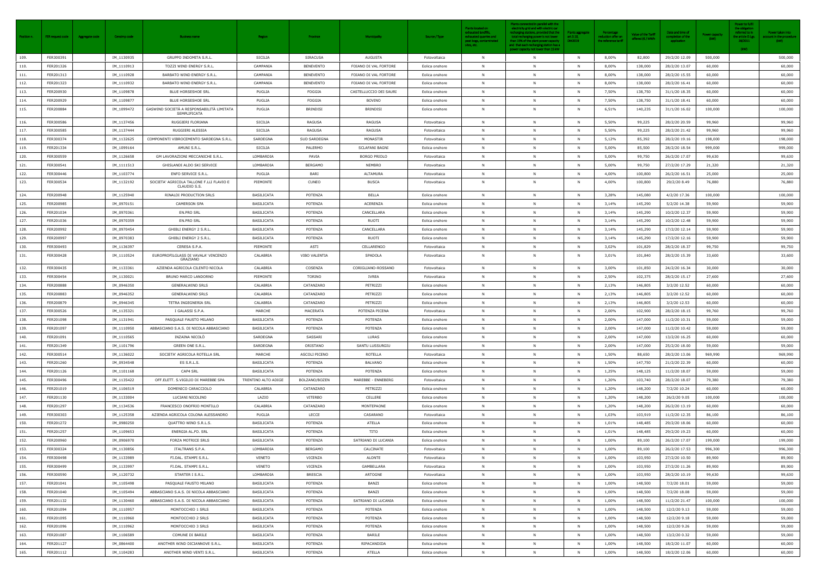| Position n. | FER request code | Aggregate code | Censimp code | <b>Business name</b>                                      | <b>Region</b>       | Province         | <b>Municipality</b>    | Source / Type  | Plants located on<br>exhausted landfills,<br>exhausted quarries and<br>peat bogs, contaminated<br>sites, etc. | Plants connected in parallel with the<br>electricity grid and with electric car<br>recharging stations, provided that the<br>total recharging power is not lower<br>than 15% of the plant power capacity<br>and that each recharging station has a<br>power capacity not lower than 15 kW | <b>Plants aggregate</b><br>art.3.10,<br>DM2019 | Percentage<br>reduction offer on<br>the reference tariff | <b>Value of the Tariff</b><br>offered (€ / MWl | Date and time of<br>completion of the<br>application | Power capaci<br>(kW) | Power to fulfil<br>the obligation<br>referred to in<br>he article D.Lg<br>28/2011<br>(kW) | Power taken into<br>count in the procedure<br>(kW) |
|-------------|------------------|----------------|--------------|-----------------------------------------------------------|---------------------|------------------|------------------------|----------------|---------------------------------------------------------------------------------------------------------------|-------------------------------------------------------------------------------------------------------------------------------------------------------------------------------------------------------------------------------------------------------------------------------------------|------------------------------------------------|----------------------------------------------------------|------------------------------------------------|------------------------------------------------------|----------------------|-------------------------------------------------------------------------------------------|----------------------------------------------------|
| 109.        | FER300391        |                | IM_1130935   | GRUPPO INDOMITA S.R.L.                                    | SICILIA             | <b>SIRACUSA</b>  | <b>AUGUSTA</b>         | Fotovoltaica   | N                                                                                                             | $\mathsf{N}$                                                                                                                                                                                                                                                                              | N                                              | 8,00%                                                    | 82,800                                         | 29/2/20 12.09                                        | 500,000              |                                                                                           | 500,000                                            |
| 110.        | FER201326        |                | IM_1110913   | TOZZI WIND ENERGY S.R.L.                                  | CAMPANIA            | <b>BENEVENTO</b> | FOIANO DI VAL FORTORE  | Eolica onshore | <b>N</b>                                                                                                      | N                                                                                                                                                                                                                                                                                         | <b>N</b>                                       | 8,00%                                                    | 138,000                                        | 28/2/20 13.07                                        | 60,000               |                                                                                           | 60,000                                             |
| 111.        | FER201313        |                | IM_1110928   | BARBATO WIND ENERGY S.R.L.                                | CAMPANIA            | <b>BENEVENTO</b> | FOIANO DI VAL FORTORE  | Eolica onshore | <b>N</b>                                                                                                      | N                                                                                                                                                                                                                                                                                         | N                                              | 8,00%                                                    | 138,000                                        | 28/2/20 15.55                                        | 60,000               |                                                                                           | 60,000                                             |
| 112.        | FER201323        |                | IM_1110932   | BARBATO WIND ENERGY S.R.L.                                | CAMPANIA            | <b>BENEVENTO</b> | FOIANO DI VAL FORTORE  | Eolica onshore | <b>N</b>                                                                                                      | N                                                                                                                                                                                                                                                                                         | $\mathbb N$                                    | 8,00%                                                    | 138,000                                        | 28/2/20 16.41                                        | 60,000               |                                                                                           | 60,000                                             |
| 113.        | FER200930        |                | IM_1109878   | BLUE HORSESHOE SRL                                        | PUGLIA              | FOGGIA           | CASTELLUCCIO DEI SAURI | Eolica onshore |                                                                                                               | N                                                                                                                                                                                                                                                                                         | N                                              | 7,50%                                                    | 138,750                                        | 31/1/20 18.35                                        | 60,000               |                                                                                           | 60,000                                             |
| 114.        | FER200929        |                | IM_1109877   | <b>BLUE HORSESHOE SRL</b>                                 | PUGLIA              | FOGGIA           | <b>BOVINO</b>          | Eolica onshore | N                                                                                                             | N                                                                                                                                                                                                                                                                                         | N                                              | 7,50%                                                    | 138,750                                        | 31/1/20 18.41                                        | 60,000               |                                                                                           | 60,000                                             |
| 115.        | FER200884        |                | IM_1099472   | GASWIND SOCIETÀ A RESPONSABILITÀ LIMITATA<br>SEMPLIFICATA | PUGLIA              | BRINDISI         | <b>BRINDISI</b>        | Eolica onshore | <b>N</b>                                                                                                      | N                                                                                                                                                                                                                                                                                         | N                                              | 6,51%                                                    | 140,235                                        | 31/1/20 16.02                                        | 100,000              |                                                                                           | 100,000                                            |
| 116.        | FER300586        |                | IM_1137456   | RUGGIERI FLORIANA                                         | SICILIA             | RAGUSA           | RAGUSA                 | Fotovoltaica   | N                                                                                                             | N                                                                                                                                                                                                                                                                                         | N                                              | 5,50%                                                    | 99,225                                         | 28/2/20 20.59                                        | 99,960               |                                                                                           | 99,960                                             |
| 117.        | FER300585        |                | IM_1137444   | RUGGIERI ALESSIA                                          | SICILIA             | RAGUSA           | RAGUSA                 | Fotovoltaica   | <b>N</b>                                                                                                      | $\mathsf{N}$                                                                                                                                                                                                                                                                              | N                                              | 5,50%                                                    | 99,225                                         | 28/2/20 21.42                                        | 99,960               |                                                                                           | 99,960                                             |
| 118.        | FER300374        |                | IM_1132625   | COMPONENTI VIBROCEMENTO SARDEGNA S.R.L                    | SARDEGNA            | SUD SARDEGNA     | MONASTIR               | Fotovoltaica   | N                                                                                                             | N                                                                                                                                                                                                                                                                                         | N                                              | 5,12%                                                    | 85,392                                         | 28/2/20 19.16                                        | 198,000              |                                                                                           | 198,000                                            |
| 119.        | FER201334        |                | IM_1099164   | AMUNI S.R.L.                                              | SICILIA             | PALERMO          | <b>SCLAFANI BAGNI</b>  | Eolica onshore | N                                                                                                             | N                                                                                                                                                                                                                                                                                         | N                                              | 5,00%                                                    | 85,500                                         | 28/2/20 18.54                                        | 999,000              |                                                                                           | 999,000                                            |
| 120.        | FER300559        |                | IM_1126658   | GM LAVORAZIONI MECCANICHE S.R.L.                          | LOMBARDIA           | PAVIA            | <b>BORGO PRIOLO</b>    | Fotovoltaica   | <b>N</b>                                                                                                      | N                                                                                                                                                                                                                                                                                         | N                                              | 5,00%                                                    | 99,750                                         | 26/2/20 17.07                                        | 99,630               |                                                                                           | 99,630                                             |
| 121.        | FER300541        |                | IM_1111513   | GHISLANDI ALDO SKI SERVICE                                | LOMBARDIA           | <b>BERGAMO</b>   | <b>NEMBRO</b>          | Fotovoltaica   | <b>N</b>                                                                                                      | N                                                                                                                                                                                                                                                                                         | $\mathbb N$                                    | 5,00%                                                    | 99,750                                         | 27/2/20 17.29                                        | 21,320               |                                                                                           | 21,320                                             |
| 122.        | FER300446        |                | IM_1103774   | ENFO SERVICE S.R.L.                                       | PUGLIA              | BARI             | ALTAMURA               | Fotovoltaica   | N                                                                                                             | N                                                                                                                                                                                                                                                                                         | - N                                            | 4,00%                                                    | 100,800                                        | 26/2/20 16.51                                        | 25,000               |                                                                                           | 25,000                                             |
| 123.        | FER300534        |                | IM_1132192   | SOCIETA' AGRICOLA TALLONE F.LLI FLAVIO E<br>CLAUDIO S.S.  | PIEMONTE            | <b>CUNEO</b>     | <b>BUSCA</b>           | Fotovoltaica   | <b>N</b>                                                                                                      | N                                                                                                                                                                                                                                                                                         |                                                | 4,00%                                                    | 100,800                                        | 29/2/20 8.49                                         | 76,880               |                                                                                           | 76,880                                             |
| 124.        | FER200948        |                | IM_1125940   | RINALDI PRODUCTION SRLS                                   | BASILICATA          | POTENZA          | BELLA                  | Eolica onshore | N                                                                                                             | N                                                                                                                                                                                                                                                                                         | N                                              | 3,28%                                                    | 145,080                                        | 4/2/20 17.36                                         | 100,000              |                                                                                           | 100,000                                            |
| 125.        | FER200985        |                | IM_0970151   | <b>CAMERSON SPA</b>                                       | <b>BASILICATA</b>   | POTENZA          | ACERENZA               | Eolica onshore | N                                                                                                             | N                                                                                                                                                                                                                                                                                         | - N                                            | 3,14%                                                    | 145,290                                        | 5/2/20 14.38                                         | 59,900               |                                                                                           | 59,900                                             |
| 126.        | FER201034        |                | IM_0970361   | EN.PRO SRL                                                | BASILICATA          | POTENZA          | CANCELLARA             | Eolica onshore | <b>N</b>                                                                                                      | $\mathsf{N}$                                                                                                                                                                                                                                                                              | N                                              | 3,14%                                                    | 145,290                                        | 10/2/20 12.37                                        | 59,900               |                                                                                           | 59,900                                             |
| 127.        | FER201036        |                | IM_0970359   | EN.PRO SRL                                                | <b>BASILICATA</b>   | POTENZA          | RUOTI                  | Eolica onshore | N                                                                                                             | $\mathsf{N}$                                                                                                                                                                                                                                                                              | N <sub>N</sub>                                 | 3,14%                                                    | 145,290                                        | 10/2/20 12.48                                        | 59,900               |                                                                                           | 59,900                                             |
| 128.        | FER200992        |                | IM_0970454   | GHIBLI ENERGY 2 S.R.L.                                    | BASILICATA          | POTENZA          | CANCELLARA             | Eolica onshore | N                                                                                                             | N                                                                                                                                                                                                                                                                                         | <b>N</b>                                       | 3,14%                                                    | 145,290                                        | 17/2/20 12.14                                        | 59,900               |                                                                                           | 59,900                                             |
| 129.        | FER200997        |                | IM_0970383   | GHIBLI ENERGY 2 S.R.L.                                    | BASILICATA          | POTENZA          | RUOTI                  | Eolica onshore | <b>N</b>                                                                                                      | N                                                                                                                                                                                                                                                                                         | $\mathbb N$                                    | 3,14%                                                    | 145,290                                        | 17/2/20 12.16                                        | 59,900               |                                                                                           | 59,900                                             |
| 130.        | FER300493        |                | IM_1136397   | CERESA S.P.A.                                             | PIEMONTE            | ASTI             | CELLARENGO             | Fotovoltaica   | N                                                                                                             | N                                                                                                                                                                                                                                                                                         | N                                              | 3,02%                                                    | 101,829                                        | 28/2/20 18.37                                        | 99,750               |                                                                                           | 99,750                                             |
| 131.        | FER300428        |                | IM_1110524   | EUROPROFILGLASS DI VAVALA' VINCENZO<br>GRAZIANO           | CALABRIA            | VIBO VALENTIA    | SPADOLA                | Fotovoltaica   | <b>N</b>                                                                                                      | N                                                                                                                                                                                                                                                                                         | $\mathbb N$                                    | 3,01%                                                    | 101,840                                        | 28/2/20 15.39                                        | 33,600               |                                                                                           | 33,600                                             |
| 132.        | FER300435        |                | IM_1133361   | AZIENDA AGRICOLA CILENTO NICOLA                           | CALABRIA            | COSENZA          | CORIGLIANO-ROSSANO     | Fotovoltaica   | <b>N</b>                                                                                                      | N                                                                                                                                                                                                                                                                                         | $\mathbb N$                                    | 3,00%                                                    | 101,850                                        | 24/2/20 16.34                                        | 30,000               |                                                                                           | 30,000                                             |
| 133.        | FER300454        |                | IM_1130021   | BRUNO MARCO LANDORNO                                      | PIEMONTE            | TORINO           | IVREA                  | Fotovoltaica   |                                                                                                               | N                                                                                                                                                                                                                                                                                         | N                                              | 2,50%                                                    | 102,375                                        | 28/2/20 15.17                                        | 27,600               |                                                                                           | 27,600                                             |
| 134.        | FER200888        |                | IM_0946350   | <b>GENERALWIND SRLS</b>                                   | CALABRIA            | CATANZARO        | PETRIZZI               | Eolica onshore | N                                                                                                             | N                                                                                                                                                                                                                                                                                         | $\mathbb N$                                    | 2,13%                                                    | 146,805                                        | 3/2/20 12.52                                         | 60,000               |                                                                                           | 60,000                                             |
| 135.        | FER200883        |                | IM_0946352   | <b>GENERALWIND SRLS</b>                                   | CALABRIA            | CATANZARO        | PETRIZZI               | Eolica onshore | <b>N</b>                                                                                                      | N                                                                                                                                                                                                                                                                                         | <b>N</b>                                       | 2,13%                                                    | 146,805                                        | 3/2/20 12.52                                         | 60,000               |                                                                                           | 60,000                                             |
| 136.        | FER200879        |                | IM_0946345   | TETRA INGEGNERIA SRL                                      | CALABRIA            | CATANZARO        | PETRIZZI               | Eolica onshore | <b>N</b>                                                                                                      | N                                                                                                                                                                                                                                                                                         | $\mathbb N$                                    | 2,13%                                                    | 146,805                                        | 3/2/20 12.53                                         | 60,000               |                                                                                           | 60,000                                             |
| 137.        | FER300526        |                | IM_1135321   | I GALASSI S.P.A.                                          | MARCHE              | MACERATA         | POTENZA PICENA         | Fotovoltaica   | N                                                                                                             | N                                                                                                                                                                                                                                                                                         | <b>N</b>                                       | 2,00%                                                    | 102,900                                        | 28/2/20 18.15                                        | 99,760               |                                                                                           | 99,760                                             |
| 138.        | FER201098        |                | IM_1131941   | PASQUALE FAUSTO MILANO                                    | <b>BASILICATA</b>   | POTENZA          | POTENZA                | Eolica onshore |                                                                                                               |                                                                                                                                                                                                                                                                                           |                                                | 2,00%                                                    | 147,000                                        | 11/2/20 10.31                                        | 59,000               |                                                                                           | 59,000                                             |
| 139.        | FER201097        |                | IM_1110950   | ABBASCIANO S.A.S. DI NICOLA ABBASCIANO                    | BASILICATA          | POTENZA          | POTENZA                | Eolica onshore | <b>N</b>                                                                                                      | $\mathsf{N}$                                                                                                                                                                                                                                                                              | N                                              | 2,00%                                                    | 147,000                                        |                                                      | 59,000               |                                                                                           |                                                    |
| 140.        |                  |                |              |                                                           |                     |                  |                        |                | N                                                                                                             | N                                                                                                                                                                                                                                                                                         | N                                              |                                                          |                                                | 11/2/20 10.42                                        |                      |                                                                                           | 59,000                                             |
|             | FER201091        |                | IM_1110565   | INZAINA NICOLÒ                                            | SARDEGNA            | SASSARI          | LURAS                  | Eolica onshore |                                                                                                               |                                                                                                                                                                                                                                                                                           |                                                | 2,00%                                                    | 147,000                                        | 13/2/20 16.25                                        | 60,000               |                                                                                           | 60,000                                             |
| 141.        | FER201349        |                | IM_1101796   | GREEN ONE S.R.L.                                          | SARDEGNA            | ORISTANO         | SANTU LUSSURGIU        | Eolica onshore | <b>N</b>                                                                                                      | N                                                                                                                                                                                                                                                                                         | $\mathbb N$                                    | 2,00%                                                    | 147,000                                        | 25/2/20 18.00                                        | 59,000               |                                                                                           | 59,000                                             |
| 142.        | FER300514        |                | IM_1136022   | SOCIETA' AGRICOLA ROTELLA SRL                             | MARCHE              | ASCOLI PICENO    | ROTELLA                | Fotovoltaica   | N                                                                                                             | N                                                                                                                                                                                                                                                                                         | N                                              | 1,50%                                                    | 88,650                                         | 28/2/20 13.06                                        | 969,990              |                                                                                           | 969,990                                            |
| 143.        | FER201260        |                | IM_0934548   | ES S.R.L.S.                                               | <b>BASILICATA</b>   | POTENZA          | <b>BALVANO</b>         | Eolica onshore | N                                                                                                             | N                                                                                                                                                                                                                                                                                         | $\mathbb N$                                    | 1,50%                                                    | 147,750                                        | 21/2/20 22.39                                        | 60,000               |                                                                                           | 60,000                                             |
| 144.        | FER201126        |                | IM_1101168   | CAP4 SRL                                                  | BASILICATA          | POTENZA          | POTENZA                | Eolica onshore | <b>N</b>                                                                                                      | N                                                                                                                                                                                                                                                                                         | $\mathbb N$                                    | 1,25%                                                    | 148,125                                        | 11/2/20 18.07                                        | 59,000               |                                                                                           | 59,000                                             |
| 145.        | FER300496        |                | IM_1135422   | OFF.ELETT. S.VIGILIO DI MAREBBE SPA                       | TRENTINO ALTO ADIGE | BOLZANO/BOZEN    | MAREBBE - ENNEBERG     | Fotovoltaica   | N                                                                                                             | N                                                                                                                                                                                                                                                                                         | <b>N</b>                                       | 1,20%                                                    | 103,740                                        | 28/2/20 18.07                                        | 79,380               |                                                                                           | 79,380                                             |
| 146.        | FER201019        |                | IM_1106519   | DOMENICO CARACCIOLO                                       | CALABRIA            | CATANZARO        | PETRIZZI               | Eolica onshore | <b>N</b>                                                                                                      | $\mathsf{N}$                                                                                                                                                                                                                                                                              | $\mathbb N$                                    | 1,20%                                                    | 148,200                                        | 7/2/20 10.24                                         | 60,000               |                                                                                           | 60,000                                             |
| 147.        | FER201130        |                | IM_1133004   | LUCIANI NICOLINO                                          | LAZIO               | VITERBO          | CELLERE                | Eolica onshore | N                                                                                                             | N                                                                                                                                                                                                                                                                                         | N                                              | 1,20%                                                    | 148,200                                        | 26/2/20 9.05                                         | 100,000              |                                                                                           | 100,000                                            |
| 148.        | FER201297        |                | IM_1134536   | FRANCESCO ONOFRIO MONTILLO                                | CALABRIA            | CATANZARO        | MONTEPAONE             | Eolica onshore | <b>N</b>                                                                                                      | N                                                                                                                                                                                                                                                                                         | $\mathbb N$                                    | 1,20%                                                    | 148,200                                        | 26/2/20 13.19                                        | 60,000               |                                                                                           | 60,000                                             |
| 149.        | FER300303        |                | IM_1125358   | AZIENDA AGRICOLA COLONA ALESSANDRO                        | PUGLIA              | LECCE            | CASARANO               | Fotovoltaica   | <b>N</b>                                                                                                      | N                                                                                                                                                                                                                                                                                         | $\mathbb N$                                    | 1,03%                                                    | 103,919                                        | 11/2/20 12.35                                        | 86,100               |                                                                                           | 86,100                                             |
| 150.        | FER201272        |                | IM_0980250   | QUATTRO WIND S.R.L.S.                                     | BASILICATA          | POTENZA          | ATELLA                 | Eolica onshore | N                                                                                                             | N                                                                                                                                                                                                                                                                                         | N                                              | 1,01%                                                    | 148,485                                        | 29/2/20 18.06                                        | 60,000               |                                                                                           | 60,000                                             |
| 151.        | FER201257        |                | IM_1109653   | ENERGIA AL.FO. SRL                                        | <b>BASILICATA</b>   | POTENZA          | TITO                   | Eolica onshore | <b>N</b>                                                                                                      | N                                                                                                                                                                                                                                                                                         | N                                              | 1,01%                                                    | 148,485                                        | 29/2/20 19.23                                        | 60,000               |                                                                                           | 60,000                                             |
| 152.        | FER200960        |                | IM_0906970   | FORZA MOTRICE SRLS                                        | BASILICATA          | POTENZA          | SATRIANO DI LUCANIA    | Eolica onshore | N                                                                                                             | N                                                                                                                                                                                                                                                                                         | N                                              | 1,00%                                                    | 89,100                                         | 26/2/20 17.07                                        | 199,000              |                                                                                           | 199,000                                            |
| 153.        | FER300324        |                | IM_1130856   | ITALTRANS S.P.A.                                          | LOMBARDIA           | BERGAMO          | CALCINATE              | Fotovoltaica   | <b>N</b>                                                                                                      | N                                                                                                                                                                                                                                                                                         | $\mathbb N$                                    | 1,00%                                                    | 89,100                                         | 26/2/20 17.53                                        | 996,300              |                                                                                           | 996,300                                            |
| 154.        | FER300498        |                | IM_1133989   | FI.DAL. STAMPI S.R.L.                                     | VENETO              | VICENZA          | ALONTE                 | Fotovoltaica   | N                                                                                                             | N                                                                                                                                                                                                                                                                                         | $\mathbb N$                                    | 1,00%                                                    | 103,950                                        | 27/2/20 10.50                                        | 89,900               |                                                                                           | 89,900                                             |
| 155.        | FER300499        |                | IM_1133997   | FI.DAL. STAMPI S.R.L.                                     | VENETO              | VICENZA          | GAMBELLARA             | Fotovoltaica   | N                                                                                                             | N                                                                                                                                                                                                                                                                                         | $\mathbb N$                                    | 1,00%                                                    | 103,950                                        | 27/2/20 11.26                                        | 89,900               |                                                                                           | 89,900                                             |
| 156.        | FER300590        |                | IM_1120732   | STARTER I S.R.L.                                          | LOMBARDIA           | <b>BRESCIA</b>   | ARTOGNE                | Fotovoltaica   | <b>N</b>                                                                                                      | N                                                                                                                                                                                                                                                                                         | $\mathbb N$                                    | 1,00%                                                    | 103,950                                        | 28/2/20 10.19                                        | 99,630               |                                                                                           | 99,630                                             |
| 157.        | FER201041        |                | IM_1105498   | PASQUALE FAUSTO MILANO                                    | BASILICATA          | POTENZA          | BANZI                  | Eolica onshore | <b>N</b>                                                                                                      | N                                                                                                                                                                                                                                                                                         | N                                              | 1,00%                                                    | 148,500                                        | 7/2/20 18.01                                         | 59,000               |                                                                                           | 59,000                                             |
| 158.        | FER201040        |                | IM_1105494   | ABBASCIANO S.A.S. DI NICOLA ABBASCIANO                    | BASILICATA          | POTENZA          | BANZI                  | Eolica onshore | N                                                                                                             | N                                                                                                                                                                                                                                                                                         | N                                              | 1,00%                                                    | 148,500                                        | 7/2/20 18.08                                         | 59,000               |                                                                                           | 59,000                                             |
| 159.        | FER201132        |                | IM_1130460   | ABBASCIANO S.A.S. DI NICOLA ABBASCIANO                    | <b>BASILICATA</b>   | POTENZA          | SATRIANO DI LUCANIA    | Eolica onshore | <b>N</b>                                                                                                      | $\mathsf{N}$                                                                                                                                                                                                                                                                              | N                                              | 1,00%                                                    | 148,500                                        | 11/2/20 21.47                                        | 100,000              |                                                                                           | 100,000                                            |
| 160.        | FER201094        |                | IM_1110957   | MONTOCCHIO 1 SRLS                                         | BASILICATA          | POTENZA          | POTENZA                | Eolica onshore | <b>N</b>                                                                                                      | N                                                                                                                                                                                                                                                                                         | N                                              | 1,00%                                                    | 148,500                                        | 12/2/20 9.13                                         | 59,000               |                                                                                           | 59,000                                             |
| 161.        | FER201095        |                | IM_1110960   | MONTOCCHIO 2 SRLS                                         | <b>BASILICATA</b>   | POTENZA          | POTENZA                | Eolica onshore | <b>N</b>                                                                                                      | N                                                                                                                                                                                                                                                                                         | $\mathbb N$                                    | 1,00%                                                    | 148,500                                        | 12/2/20 9.18                                         | 59,000               |                                                                                           | 59,000                                             |
| 162.        | FER201096        |                | IM_1110962   | MONTOCCHIO 3 SRLS                                         | BASILICATA          | POTENZA          | POTENZA                | Eolica onshore | <b>N</b>                                                                                                      | N                                                                                                                                                                                                                                                                                         | N                                              | 1,00%                                                    | 148,500                                        | 12/2/20 9.26                                         | 59,000               |                                                                                           | 59,000                                             |
| 163.        | FER201087        |                | IM_1106589   | COMUNE DI BARILE                                          | BASILICATA          | POTENZA          | BARILE                 | Eolica onshore | N                                                                                                             | N                                                                                                                                                                                                                                                                                         | N                                              | 1,00%                                                    | 148,500                                        | 13/2/20 0.32                                         | 59,000               |                                                                                           | 59,000                                             |
| 164.        | FER201127        |                | IM_0864400   | ANOTHER WIND DICIANNOVE S.R.L.                            | BASILICATA          | POTENZA          | RIPACANDIDA            | Eolica onshore |                                                                                                               | N                                                                                                                                                                                                                                                                                         | N                                              | 1,00%                                                    | 148,500                                        | 18/2/20 11.07                                        | 60,000               |                                                                                           | 60,000                                             |
| 165.        | FER201112        |                | IM_1104283   | ANOTHER WIND VENTI S.R.L.                                 | BASILICATA          | POTENZA          | ATELLA                 | Eolica onshore | N                                                                                                             | N                                                                                                                                                                                                                                                                                         | N                                              | 1,00%                                                    | 148,500                                        | 18/2/20 12.06                                        | 60,000               |                                                                                           | 60,000                                             |
|             |                  |                |              |                                                           |                     |                  |                        |                |                                                                                                               |                                                                                                                                                                                                                                                                                           |                                                |                                                          |                                                |                                                      |                      |                                                                                           |                                                    |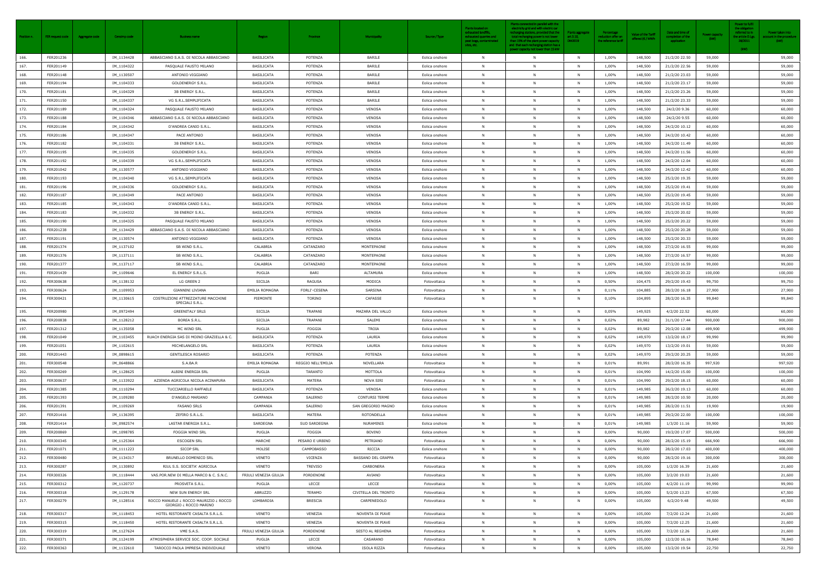| Position n. | FER request code | <b>Aggregate code</b><br>Censimp code | <b>Business name</b>                                             | <b>Region</b>         | Province           | <b>Municipality</b>       | Source / Type  | <b>Plants located on</b><br>exhausted landfills,<br>exhausted quarries and<br>peat bogs, contaminated<br>sites, etc. | Plants connected in parallel with the<br>electricity grid and with electric car<br>echarging stations, provided that the<br>total recharging power is not lower<br>than 15% of the plant power capacity<br>and that each recharging station has a<br>power capacity not lower than 15 kW | <b>Plants aggregate</b><br>art.3.10.<br>DM2019 | Percentage<br>eduction offer or<br>the reference tariff | <b>Value of the Tariff</b><br>offered (€ / MWh | Date and time of<br>mpletion of the<br>application | Power capacity<br>(kW) | Power to fulfil<br>the obligation<br>referred to in<br>he article D.Lg<br>28/2011<br>(kW) | Power taken into<br>ount in the procedure<br>(kW) |
|-------------|------------------|---------------------------------------|------------------------------------------------------------------|-----------------------|--------------------|---------------------------|----------------|----------------------------------------------------------------------------------------------------------------------|------------------------------------------------------------------------------------------------------------------------------------------------------------------------------------------------------------------------------------------------------------------------------------------|------------------------------------------------|---------------------------------------------------------|------------------------------------------------|----------------------------------------------------|------------------------|-------------------------------------------------------------------------------------------|---------------------------------------------------|
| 166.        | FER201236        | IM_1134428                            | ABBASCIANO S.A.S. DI NICOLA ABBASCIANO                           | <b>BASILICATA</b>     | POTENZA            | BARILE                    | Eolica onshore | N                                                                                                                    | N                                                                                                                                                                                                                                                                                        | <b>N</b>                                       | 1,00%                                                   | 148,500                                        | 21/2/20 22.50                                      | 59,000                 |                                                                                           | 59,000                                            |
| 167.        | FER201149        | IM_1104322                            | PASQUALE FAUSTO MILANO                                           | BASILICATA            | POTENZA            | BARILE                    | Eolica onshore | <b>N</b>                                                                                                             | N                                                                                                                                                                                                                                                                                        | <b>N</b>                                       | 1,00%                                                   | 148,500                                        | 21/2/20 22.56                                      | 59,000                 |                                                                                           | 59,000                                            |
| 168.        | FER201148        | IM_1130507                            | ANTONIO VIGGIANO                                                 | BASILICATA            | POTENZA            | BARILE                    | Eolica onshore | N                                                                                                                    | N                                                                                                                                                                                                                                                                                        | N                                              | 1,00%                                                   | 148,500                                        | 21/2/20 23.03                                      | 59,000                 |                                                                                           | 59,000                                            |
| 169.        | FER201194        | IM_1104333                            | GOLDENERGY S.R.L.                                                | BASILICATA            | POTENZA            | BARILE                    | Eolica onshore | N                                                                                                                    | N                                                                                                                                                                                                                                                                                        | <b>N</b>                                       | 1,00%                                                   | 148,500                                        | 21/2/20 23.17                                      | 59,000                 |                                                                                           | 59,000                                            |
| 170.        | FER201181        | IM_1104329                            | 3B ENERGY S.R.L.                                                 | BASILICATA            | POTENZA            | BARILE                    | Eolica onshore | - N                                                                                                                  | N                                                                                                                                                                                                                                                                                        | <b>N</b>                                       | 1,00%                                                   | 148,500                                        | 21/2/20 23.26                                      | 59,000                 |                                                                                           | 59,000                                            |
| 171.        | FER201150        | IM_1104337                            | VG S.R.L.SEMPLIFICATA                                            | BASILICATA            | POTENZA            | BARILE                    | Eolica onshore |                                                                                                                      | N                                                                                                                                                                                                                                                                                        |                                                | 1,00%                                                   | 148,500                                        | 21/2/20 23.33                                      | 59,000                 |                                                                                           | 59,000                                            |
| 172.        | FER201189        | IM_1104324                            | PASQUALE FAUSTO MILANO                                           | BASILICATA            | POTENZA            | VENOSA                    | Eolica onshore | N                                                                                                                    | N                                                                                                                                                                                                                                                                                        | N                                              | 1,00%                                                   | 148,500                                        | 24/2/20 9.36                                       | 60,000                 |                                                                                           | 60,000                                            |
| 173.        | FER201188        | IM_1104346                            | ABBASCIANO S.A.S. DI NICOLA ABBASCIANO                           | BASILICATA            | POTENZA            | VENOSA                    | Eolica onshore | - N                                                                                                                  | N                                                                                                                                                                                                                                                                                        | N                                              | 1,00%                                                   | 148,500                                        | 24/2/20 9.55                                       | 60,000                 |                                                                                           | 60,000                                            |
| 174.        | FER201184        | IM_1104342                            | D'ANDREA CANIO S.R.L.                                            | BASILICATA            | POTENZA            | VENOSA                    | Eolica onshore | <b>N</b>                                                                                                             | N                                                                                                                                                                                                                                                                                        | N                                              | 1,00%                                                   | 148,500                                        | 24/2/20 10.12                                      | 60,000                 |                                                                                           | 60,000                                            |
| 175.        | FER201186        | IM_1104347                            | PACE ANTONIO                                                     | BASILICATA            | POTENZA            | VENOSA                    | Eolica onshore | <b>N</b>                                                                                                             | N                                                                                                                                                                                                                                                                                        | N                                              | 1,00%                                                   | 148,500                                        | 24/2/20 10.42                                      | 60,000                 |                                                                                           | 60,000                                            |
| 176.        | FER201182        | IM_1104331                            | 3B ENERGY S.R.L.                                                 | BASILICATA            | POTENZA            | VENOSA                    | Eolica onshore | N                                                                                                                    | N                                                                                                                                                                                                                                                                                        | <b>N</b>                                       | 1,00%                                                   | 148,500                                        | 24/2/20 11.49                                      | 60,000                 |                                                                                           | 60,000                                            |
| 177.        | FER201195        | IM_1104335                            | GOLDENERGY S.R.L.                                                | BASILICATA            | POTENZA            | VENOSA                    | Eolica onshore | N                                                                                                                    | N                                                                                                                                                                                                                                                                                        | N                                              | 1,00%                                                   | 148,500                                        | 24/2/20 11.56                                      | 60,000                 |                                                                                           | 60,000                                            |
| 178.        | FER201192        | IM_1104339                            | VG S.R.L.SEMPLIFICATA                                            | BASILICATA            | POTENZA            | VENOSA                    | Eolica onshore | <b>N</b>                                                                                                             | N                                                                                                                                                                                                                                                                                        | -N                                             | 1,00%                                                   | 148,500                                        | 24/2/20 12.04                                      | 60,000                 |                                                                                           | 60,000                                            |
| 179.        | FER201042        | IM_1130577                            | ANTONIO VIGGIANO                                                 | BASILICATA            | POTENZA            | VENOSA                    | Eolica onshore | N                                                                                                                    | N                                                                                                                                                                                                                                                                                        | <b>N</b>                                       | 1,00%                                                   | 148,500                                        | 24/2/20 12.42                                      | 60,000                 |                                                                                           | 60,000                                            |
| 180.        | FER201193        | IM_1104340                            | VG S.R.L.SEMPLIFICATA                                            | BASILICATA            | POTENZA            | VENOSA                    | Eolica onshore | - N                                                                                                                  | N                                                                                                                                                                                                                                                                                        | N.                                             | 1,00%                                                   | 148,500                                        | 25/2/20 19.35                                      | 59,000                 |                                                                                           | 59,000                                            |
| 181.        | FER201196        | IM_1104336                            | GOLDENERGY S.R.L.                                                | BASILICATA            | POTENZA            | VENOSA                    | Eolica onshore | <b>N</b>                                                                                                             | N                                                                                                                                                                                                                                                                                        | <b>N</b>                                       | 1,00%                                                   | 148,500                                        | 25/2/20 19.41                                      | 59,000                 |                                                                                           | 59,000                                            |
| 182.        | FER201187        | IM_1104349                            | PACE ANTONIO                                                     | BASILICATA            | POTENZA            | VENOSA                    | Eolica onshore |                                                                                                                      | N                                                                                                                                                                                                                                                                                        | N                                              | 1,00%                                                   | 148,500                                        | 25/2/20 19.45                                      | 59,000                 |                                                                                           | 59,000                                            |
| 183.        | FER201185        | IM_1104343                            | D'ANDREA CANIO S.R.L.                                            | BASILICATA            | POTENZA            | VENOSA                    | Eolica onshore | <b>N</b>                                                                                                             | N                                                                                                                                                                                                                                                                                        | - N                                            | 1,00%                                                   | 148,500                                        | 25/2/20 19.52                                      | 59,000                 |                                                                                           | 59,000                                            |
| 184.        | FER201183        | IM_1104332                            | 3B ENERGY S.R.L.                                                 | BASILICATA            | POTENZA            | VENOSA                    | Eolica onshore |                                                                                                                      | N                                                                                                                                                                                                                                                                                        | N                                              | 1,00%                                                   | 148,500                                        | 25/2/20 20.02                                      | 59,000                 |                                                                                           | 59,000                                            |
| 185.        | FER201190        | IM_1104325                            | PASQUALE FAUSTO MILANO                                           | BASILICATA            | POTENZA            | VENOSA                    | Eolica onshore | <b>N</b>                                                                                                             | N                                                                                                                                                                                                                                                                                        | N                                              | 1,00%                                                   | 148,500                                        | 25/2/20 20.22                                      | 59,000                 |                                                                                           | 59,000                                            |
| 186.        | FER201238        | IM_1134429                            | ABBASCIANO S.A.S. DI NICOLA ABBASCIANO                           | <b>BASILICATA</b>     | POTENZA            | VENOSA                    | Eolica onshore | <b>N</b>                                                                                                             | N                                                                                                                                                                                                                                                                                        | -N                                             | 1,00%                                                   | 148,500                                        | 25/2/20 20.28                                      | 59,000                 |                                                                                           | 59,000                                            |
| 187.        | FER201191        | IM_1130574                            | ANTONIO VIGGIANO                                                 | BASILICATA            | POTENZA            | VENOSA                    | Eolica onshore | $\mathsf{N}$                                                                                                         | N                                                                                                                                                                                                                                                                                        | N                                              | 1,00%                                                   | 148,500                                        | 25/2/20 20.33                                      | 59,000                 |                                                                                           | 59,000                                            |
| 188.        | FER201374        | IM_1137102                            | SB WIND S.R.L.                                                   | CALABRIA              | CATANZARO          | MONTEPAONE                | Eolica onshore | N                                                                                                                    | N                                                                                                                                                                                                                                                                                        | -N                                             | 1,00%                                                   | 148,500                                        | 27/2/20 16.55                                      | 99,000                 |                                                                                           | 99,000                                            |
| 189.        | FER201376        | IM_1137111                            | SB WIND S.R.L.                                                   | CALABRIA              | CATANZARO          | MONTEPAONE                | Eolica onshore | <b>N</b>                                                                                                             | N                                                                                                                                                                                                                                                                                        | - N                                            | 1,00%                                                   | 148,500                                        | 27/2/20 16.57                                      | 99,000                 |                                                                                           | 99,000                                            |
| 190.        | FER201377        | IM_1137117                            | SB WIND S.R.L.                                                   | CALABRIA              | CATANZARO          | MONTEPAONE                | Eolica onshore | N                                                                                                                    | N                                                                                                                                                                                                                                                                                        | N                                              | 1,00%                                                   | 148,500                                        | 27/2/20 16.59                                      | 99,000                 |                                                                                           | 99,000                                            |
| 191.        | FER201439        | IM_1109646                            | EL ENERGY S.R.L.S.                                               | PUGLIA                | BARI               | ALTAMURA                  | Eolica onshore | N                                                                                                                    | N                                                                                                                                                                                                                                                                                        | N                                              | 1,00%                                                   | 148,500                                        | 28/2/20 20.22                                      | 100,000                |                                                                                           | 100,000                                           |
| 192.        | FER300638        | IM_1138132                            | LG GREEN 2                                                       | SICILIA               | RAGUSA             | MODICA                    | Fotovoltaica   |                                                                                                                      | N                                                                                                                                                                                                                                                                                        |                                                | 0,50%                                                   | 104,475                                        | 29/2/20 19.43                                      | 99,750                 |                                                                                           | 99,750                                            |
| 193.        | FER300624        | IM_1109953                            | <b>GIANNINI LIVIANA</b>                                          | EMILIA ROMAGNA        | FORLI'-CESENA      | SARSINA                   | Fotovoltaica   | N                                                                                                                    | N                                                                                                                                                                                                                                                                                        | <b>N</b>                                       | 0,11%                                                   | 104,885                                        | 28/2/20 16.18                                      | 27,900                 |                                                                                           | 27,900                                            |
| 194.        | FER300421        | IM_1130615                            | COSTRUZIONI ATTREZZATURE MACCHINE<br>SPECIALI S.R.L.             | PIEMONTE              | TORINO             | CAFASSE                   | Fotovoltaica   | N                                                                                                                    | N                                                                                                                                                                                                                                                                                        | N                                              | 0,10%                                                   | 104,895                                        | 28/2/20 16.35                                      | 99,840                 |                                                                                           | 99,840                                            |
| 195.        | FER200980        | IM_0972494                            | <b>GREENITALY SRLS</b>                                           | SICILIA               | TRAPANI            | MAZARA DEL VALLO          | Eolica onshore | <b>N</b>                                                                                                             | N                                                                                                                                                                                                                                                                                        | <b>N</b>                                       | 0,05%                                                   | 149,925                                        | 4/2/20 22.52                                       | 60,000                 |                                                                                           | 60,000                                            |
| 196.        | FER200838        | IM_1128212                            | BOREA S.R.L.                                                     | SICILIA               | TRAPANI            | SALEMI                    | Eolica onshore | N                                                                                                                    | N                                                                                                                                                                                                                                                                                        | N                                              | 0,02%                                                   | 89,982                                         | 31/1/20 17.44                                      | 900,000                |                                                                                           | 900,000                                           |
| 197.        | FER201312        | IM_1135058                            | MC WIND SRL                                                      | PUGLIA                | <b>FOGGIA</b>      | TROIA                     | Eolica onshore |                                                                                                                      | N                                                                                                                                                                                                                                                                                        | N                                              | 0,02%                                                   | 89,982                                         | 29/2/20 12.08                                      | 499,900                |                                                                                           | 499,900                                           |
| 198.        | FER201049        | IM_1103455                            | RUACH ENERGIA SAS DI MOINO GRAZIELLA & C.                        | BASILICATA            | POTENZA            | LAURIA                    | Eolica onshore | <b>N</b>                                                                                                             | N                                                                                                                                                                                                                                                                                        | N                                              | 0,02%                                                   | 149,970                                        | 13/2/20 18.17                                      | 99,990                 |                                                                                           | 99,990                                            |
| 199.        | FER201051        | IM_1102615                            | MICHELANGELO SRL                                                 | BASILICATA            | POTENZA            | LAURIA                    | Eolica onshore | <b>N</b>                                                                                                             | N                                                                                                                                                                                                                                                                                        | N                                              | 0,02%                                                   | 149,970                                        | 13/2/20 19.01                                      | 59,000                 |                                                                                           | 59,000                                            |
| 200.        | FER201443        | IM_0898615                            | <b>GENTILESCA ROSARIO</b>                                        | BASILICATA            | POTENZA            | POTENZA                   | Eolica onshore | <b>N</b>                                                                                                             | N                                                                                                                                                                                                                                                                                        | N                                              | 0,02%                                                   | 149,970                                        | 29/2/20 20.25                                      | 59,000                 |                                                                                           | 59,000                                            |
| 201.        | FER300548        | IM_0648866                            | S.A.BA.R                                                         | <b>EMILIA ROMAGNA</b> | REGGIO NELL'EMILIA | NOVELLARA                 | Fotovoltaica   | <b>N</b>                                                                                                             | N                                                                                                                                                                                                                                                                                        | N                                              | 0,01%                                                   | 89,991                                         | 28/2/20 16.35                                      | 997,920                |                                                                                           | 997,920                                           |
| 202.        | FER300269        | IM_1128625                            | ALBINI ENERGIA SRL                                               | PUGLIA                | TARANTO            | MOTTOLA                   | Fotovoltaica   |                                                                                                                      | N                                                                                                                                                                                                                                                                                        | N                                              | 0,01%                                                   | 104,990                                        | 14/2/20 15.00                                      | 100,000                |                                                                                           | 100,000                                           |
| 203.        | FER300637        | IM_1133922                            | AZIENDA AGRICOLA NICOLA ACINAPURA                                | BASILICATA            | MATERA             | NOVA SIRI                 | Fotovoltaica   | N                                                                                                                    | N                                                                                                                                                                                                                                                                                        | N                                              | 0,01%                                                   | 104,990                                        | 29/2/20 18.15                                      | 60,000                 |                                                                                           | 60,000                                            |
| 204.        | FER201385        | IM_1110294                            | TUCCIARIELLO RAFFAELE                                            | BASILICATA            | POTENZA            | VENOSA                    | Eolica onshore | <b>N</b>                                                                                                             | N                                                                                                                                                                                                                                                                                        | N                                              | 0,01%                                                   | 149,985                                        | 26/2/20 19.13                                      | 60,000                 |                                                                                           | 60,000                                            |
| 205.        | FER201393        | IM_1109280                            | D'ANGELO MARIANO                                                 | CAMPANIA              | SALERNO            | <b>CONTURSI TERME</b>     | Eolica onshore | <b>N</b>                                                                                                             | N                                                                                                                                                                                                                                                                                        | N                                              | 0,01%                                                   | 149,985                                        | 28/2/20 10.50                                      | 20,000                 |                                                                                           | 20,000                                            |
| 206.        | FER201391        | IM_1109269                            | <b>FASANO SRLS</b>                                               | CAMPANIA              | SALERNO            | SAN GREGORIO MAGNO        | Eolica onshore | <b>N</b>                                                                                                             | N                                                                                                                                                                                                                                                                                        | N                                              | 0,01%                                                   | 149,985                                        | 28/2/20 11.51                                      | 19,900                 |                                                                                           | 19,900                                            |
| 207.        | FER201416        | IM_1136395                            | ZEFIRO S.R.L.S.                                                  | <b>BASILICATA</b>     | MATERA             | ROTONDELLA                | Eolica onshore | <b>N</b>                                                                                                             | N                                                                                                                                                                                                                                                                                        | -N                                             | 0,01%                                                   | 149,985                                        | 29/2/20 22.00                                      | 100,000                |                                                                                           | 100,000                                           |
| 208.        | FER201414        | IM_0982574                            | LASTAR ENERGIA S.R.L.                                            | SARDEGNA              | SUD SARDEGNA       | <b>NURAMINIS</b>          | Eolica onshore | <b>N</b>                                                                                                             | N                                                                                                                                                                                                                                                                                        | N                                              | 0,01%                                                   | 149,985                                        | 1/3/20 11.16                                       | 59,900                 |                                                                                           | 59,900                                            |
| 209.        | FER200869        | IM_1098785                            | FOGGIA WIND SRL                                                  | PUGLIA                | FOGGIA             | BOVINO                    | Eolica onshore | N                                                                                                                    | N                                                                                                                                                                                                                                                                                        | N                                              | 0,00%                                                   | 90,000                                         | 19/2/20 17.07                                      | 500,000                |                                                                                           | 500,000                                           |
| 210.        | FER300345        | IM_1125364                            | <b>ESCOGEN SRL</b>                                               | MARCHE                | PESARO E URBINO    | PETRIANO                  | Fotovoltaica   | N                                                                                                                    | N                                                                                                                                                                                                                                                                                        | <b>N</b>                                       | $0,00\%$                                                | 90,000                                         | 28/2/20 15.19                                      | 666,900                |                                                                                           | 666,900                                           |
| 211.        | FER201071        | IM_1111223                            | <b>SICOP SRL</b>                                                 | MOLISE                | CAMPOBASSO         | RICCIA                    | Eolica onshore | <b>N</b>                                                                                                             | N                                                                                                                                                                                                                                                                                        | N                                              | 0,00%                                                   | 90,000                                         | 28/2/20 17.03                                      | 400,000                |                                                                                           | 400,000                                           |
| 212.        | FER300480        | IM_1134317                            | BRUNELLO DOMENICO SRL                                            | VENETO                | VICENZA            | <b>BASSANO DEL GRAPPA</b> | Fotovoltaica   | <b>N</b>                                                                                                             | N                                                                                                                                                                                                                                                                                        | <b>N</b>                                       | $0,00\%$                                                | 90,000                                         | 28/2/20 19.16                                      | 300,000                |                                                                                           | 300,000                                           |
| 213.        | FER300287        | IM_1130892                            | RIUL S.S. SOCIETA' AGRICOLA                                      | VENETO                | TREVISO            | CARBONERA                 | Fotovoltaica   | <b>N</b>                                                                                                             | N                                                                                                                                                                                                                                                                                        | N                                              | $0,00\%$                                                | 105,000                                        | 1/2/20 16.39                                       | 21,600                 |                                                                                           | 21,600                                            |
| 214.        | FER300326        | IM_1118444                            | VAS.POR.NEW DI MELLA MARCO & C. S.N.C.                           | FRIULI VENEZIA GIULIA | PORDENONE          | AVIANO                    | Fotovoltaica   | - N                                                                                                                  | N                                                                                                                                                                                                                                                                                        | -N                                             | 0,00%                                                   | 105,000                                        | 3/2/20 19.03                                       | 21,600                 |                                                                                           | 21,600                                            |
| 215.        | FER300312        | IM_1120737                            | PROSVETA S.R.L.                                                  | PUGLIA                | LECCE              | LECCE                     | Fotovoltaica   | N                                                                                                                    | N                                                                                                                                                                                                                                                                                        | N                                              | $0,00\%$                                                | 105,000                                        | 4/2/20 11.19                                       | 99,990                 |                                                                                           | 99,990                                            |
| 216.        | FER300318        | IM_1129178                            | NEW SUN ENERGY SRL                                               | ABRUZZO               | TERAMO             | CIVITELLA DEL TRONTO      | Fotovoltaica   | N                                                                                                                    | N                                                                                                                                                                                                                                                                                        | N                                              | $0,00\%$                                                | 105,000                                        | 5/2/20 13.23                                       | 67,500                 |                                                                                           | 67,500                                            |
| 217.        | FER300279        | IM_1128516                            | ROCCO MANUELE ¿ ROCCO MAURIZIO ¿ ROCCO<br>GIORGIO ¿ ROCCO MARINO | LOMBARDIA             | <b>BRESCIA</b>     | CARPENEDOLO               | Fotovoltaica   | <b>N</b>                                                                                                             | N                                                                                                                                                                                                                                                                                        | N                                              | $0,00\%$                                                | 105,000                                        | $6/2/20$ 9.48                                      | 49,500                 |                                                                                           | 49,500                                            |
| 218.        | FER300317        | IM_1118453                            | HOTEL RISTORANTE CASALTA S.R.L.S.                                | VENETO                | VENEZIA            | NOVENTA DI PIAVE          | Fotovoltaica   | N                                                                                                                    | N                                                                                                                                                                                                                                                                                        | N                                              | $0,00\%$                                                | 105,000                                        | 7/2/20 12.24                                       | 21,600                 |                                                                                           | 21,600                                            |
| 219.        | FER300315        | IM_1118450                            | HOTEL RISTORANTE CASALTA S.R.L.S.                                | VENETO                | VENEZIA            | NOVENTA DI PIAVE          | Fotovoltaica   | <b>N</b>                                                                                                             | N                                                                                                                                                                                                                                                                                        | -N                                             | 0,00%                                                   | 105,000                                        | 7/2/20 12.25                                       | 21,600                 |                                                                                           | 21,600                                            |
| 220.        | FER300319        | IM_1127624                            | VME S.A.S.                                                       | FRIULI VENEZIA GIULIA | PORDENONE          | SESTO AL REGHENA          | Fotovoltaica   | N                                                                                                                    | N                                                                                                                                                                                                                                                                                        | N                                              | 0,00%                                                   | 105,000                                        | 7/2/20 12.26                                       | 21,600                 |                                                                                           | 21,600                                            |
| 221.        | FER300371        | IM_1124199                            | ATMOSPHERA SERVICE SOC. COOP. SOCIALE                            | PUGLIA                | LECCE              | CASARANO                  | Fotovoltaica   | <b>N</b>                                                                                                             | N                                                                                                                                                                                                                                                                                        | N                                              | 0,00%                                                   | 105,000                                        | 12/2/20 16.16                                      | 78,840                 |                                                                                           | 78,840                                            |
| 222.        | FER300363        | IM_1132610                            | TAROCCO PAOLA IMPRESA INDIVIDUALE                                | VENETO                | <b>VERONA</b>      | ISOLA RIZZA               | Fotovoltaica   | - N                                                                                                                  | N                                                                                                                                                                                                                                                                                        | N                                              | 0,00%                                                   | 105,000                                        | 13/2/20 19.54                                      | 22,750                 |                                                                                           | 22,750                                            |